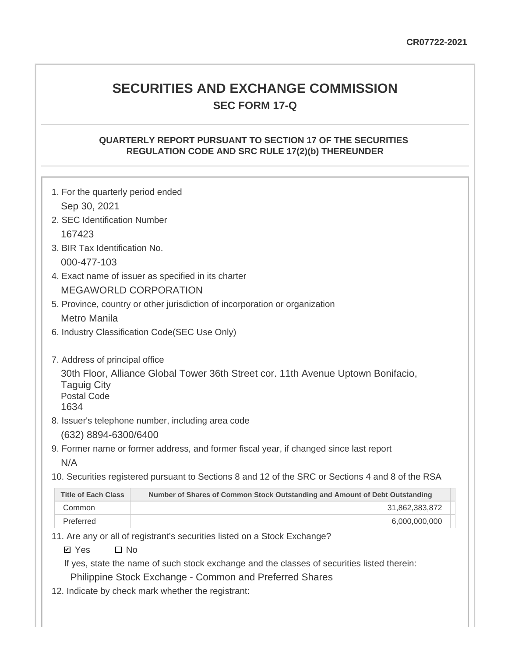# **SECURITIES AND EXCHANGE COMMISSION SEC FORM 17-Q**

## **QUARTERLY REPORT PURSUANT TO SECTION 17 OF THE SECURITIES REGULATION CODE AND SRC RULE 17(2)(b) THEREUNDER**

| 1. For the quarterly period ended                |                                                                                                                                                                                                                                             |
|--------------------------------------------------|---------------------------------------------------------------------------------------------------------------------------------------------------------------------------------------------------------------------------------------------|
| Sep 30, 2021                                     |                                                                                                                                                                                                                                             |
| 2. SEC Identification Number                     |                                                                                                                                                                                                                                             |
| 167423                                           |                                                                                                                                                                                                                                             |
| 3. BIR Tax Identification No.                    |                                                                                                                                                                                                                                             |
| 000-477-103                                      |                                                                                                                                                                                                                                             |
|                                                  | 4. Exact name of issuer as specified in its charter                                                                                                                                                                                         |
|                                                  | <b>MEGAWORLD CORPORATION</b>                                                                                                                                                                                                                |
|                                                  | 5. Province, country or other jurisdiction of incorporation or organization                                                                                                                                                                 |
| <b>Metro Manila</b>                              |                                                                                                                                                                                                                                             |
|                                                  | 6. Industry Classification Code(SEC Use Only)                                                                                                                                                                                               |
| 7. Address of principal office                   |                                                                                                                                                                                                                                             |
| <b>Taguig City</b><br><b>Postal Code</b><br>1634 | 30th Floor, Alliance Global Tower 36th Street cor. 11th Avenue Uptown Bonifacio,                                                                                                                                                            |
|                                                  | 8. Issuer's telephone number, including area code                                                                                                                                                                                           |
| (632) 8894-6300/6400                             |                                                                                                                                                                                                                                             |
|                                                  | 9. Former name or former address, and former fiscal year, if changed since last report                                                                                                                                                      |
| N/A                                              |                                                                                                                                                                                                                                             |
|                                                  | 10. Securities registered pursuant to Sections 8 and 12 of the SRC or Sections 4 and 8 of the RSA                                                                                                                                           |
| <b>Title of Each Class</b>                       | Number of Shares of Common Stock Outstanding and Amount of Debt Outstanding                                                                                                                                                                 |
| Common                                           | 31,862,383,872                                                                                                                                                                                                                              |
| Preferred                                        | 6,000,000,000                                                                                                                                                                                                                               |
| $\square$ No<br><b>Ø</b> Yes                     | 11. Are any or all of registrant's securities listed on a Stock Exchange?<br>the contract of the contract of the contract of the contract of the contract of the contract of the contract of<br>the company's company's company's company's |

If yes, state the name of such stock exchange and the classes of securities listed therein:

Philippine Stock Exchange - Common and Preferred Shares

12. Indicate by check mark whether the registrant: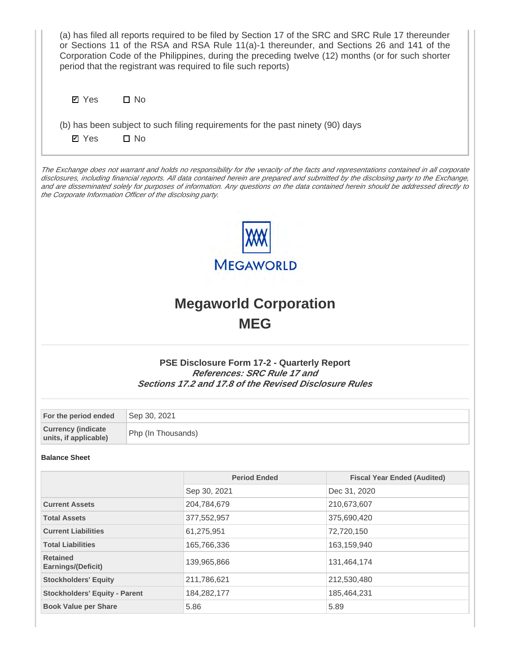| (a) has filed all reports required to be filed by Section 17 of the SRC and SRC Rule 17 thereunder<br>or Sections 11 of the RSA and RSA Rule 11(a)-1 thereunder, and Sections 26 and 141 of the<br>Corporation Code of the Philippines, during the preceding twelve (12) months (or for such shorter<br>period that the registrant was required to file such reports) |                    |                                                                                                                                                    |                                                                                                                                                                                                                                                                                                                                                                                                                          |  |  |  |  |
|-----------------------------------------------------------------------------------------------------------------------------------------------------------------------------------------------------------------------------------------------------------------------------------------------------------------------------------------------------------------------|--------------------|----------------------------------------------------------------------------------------------------------------------------------------------------|--------------------------------------------------------------------------------------------------------------------------------------------------------------------------------------------------------------------------------------------------------------------------------------------------------------------------------------------------------------------------------------------------------------------------|--|--|--|--|
| <b>Ø</b> Yes                                                                                                                                                                                                                                                                                                                                                          | $\square$ No       |                                                                                                                                                    |                                                                                                                                                                                                                                                                                                                                                                                                                          |  |  |  |  |
|                                                                                                                                                                                                                                                                                                                                                                       |                    | (b) has been subject to such filing requirements for the past ninety (90) days                                                                     |                                                                                                                                                                                                                                                                                                                                                                                                                          |  |  |  |  |
| <b>Ø</b> Yes                                                                                                                                                                                                                                                                                                                                                          | $\square$ No       |                                                                                                                                                    |                                                                                                                                                                                                                                                                                                                                                                                                                          |  |  |  |  |
| the Corporate Information Officer of the disclosing party.                                                                                                                                                                                                                                                                                                            |                    |                                                                                                                                                    | The Exchange does not warrant and holds no responsibility for the veracity of the facts and representations contained in all corporate<br>disclosures, including financial reports. All data contained herein are prepared and submitted by the disclosing party to the Exchange,<br>and are disseminated solely for purposes of information. Any questions on the data contained herein should be addressed directly to |  |  |  |  |
|                                                                                                                                                                                                                                                                                                                                                                       |                    | <b>MEGAWORLD</b>                                                                                                                                   |                                                                                                                                                                                                                                                                                                                                                                                                                          |  |  |  |  |
|                                                                                                                                                                                                                                                                                                                                                                       |                    | <b>Megaworld Corporation</b><br><b>MEG</b>                                                                                                         |                                                                                                                                                                                                                                                                                                                                                                                                                          |  |  |  |  |
|                                                                                                                                                                                                                                                                                                                                                                       |                    | <b>PSE Disclosure Form 17-2 - Quarterly Report</b><br>References: SRC Rule 17 and<br><b>Sections 17.2 and 17.8 of the Revised Disclosure Rules</b> |                                                                                                                                                                                                                                                                                                                                                                                                                          |  |  |  |  |
| For the period ended                                                                                                                                                                                                                                                                                                                                                  | Sep 30, 2021       |                                                                                                                                                    |                                                                                                                                                                                                                                                                                                                                                                                                                          |  |  |  |  |
| <b>Currency (indicate</b><br>units, if applicable)                                                                                                                                                                                                                                                                                                                    | Php (In Thousands) |                                                                                                                                                    |                                                                                                                                                                                                                                                                                                                                                                                                                          |  |  |  |  |
| <b>Balance Sheet</b>                                                                                                                                                                                                                                                                                                                                                  |                    |                                                                                                                                                    |                                                                                                                                                                                                                                                                                                                                                                                                                          |  |  |  |  |
|                                                                                                                                                                                                                                                                                                                                                                       |                    | <b>Period Ended</b>                                                                                                                                | <b>Fiscal Year Ended (Audited)</b>                                                                                                                                                                                                                                                                                                                                                                                       |  |  |  |  |
|                                                                                                                                                                                                                                                                                                                                                                       |                    | Sep 30, 2021                                                                                                                                       | Dec 31, 2020                                                                                                                                                                                                                                                                                                                                                                                                             |  |  |  |  |
| <b>Current Assets</b>                                                                                                                                                                                                                                                                                                                                                 |                    | 204,784,679                                                                                                                                        | 210,673,607                                                                                                                                                                                                                                                                                                                                                                                                              |  |  |  |  |
| <b>Total Assets</b>                                                                                                                                                                                                                                                                                                                                                   |                    | 377,552,957                                                                                                                                        | 375,690,420                                                                                                                                                                                                                                                                                                                                                                                                              |  |  |  |  |
| <b>Current Liabilities</b>                                                                                                                                                                                                                                                                                                                                            |                    | 61,275,951                                                                                                                                         | 72,720,150                                                                                                                                                                                                                                                                                                                                                                                                               |  |  |  |  |
| <b>Total Liabilities</b><br><b>Retained</b>                                                                                                                                                                                                                                                                                                                           |                    | 165,766,336<br>139,965,866                                                                                                                         | 163,159,940<br>131,464,174                                                                                                                                                                                                                                                                                                                                                                                               |  |  |  |  |
| Earnings/(Deficit)                                                                                                                                                                                                                                                                                                                                                    |                    |                                                                                                                                                    |                                                                                                                                                                                                                                                                                                                                                                                                                          |  |  |  |  |
| <b>Stockholders' Equity</b>                                                                                                                                                                                                                                                                                                                                           |                    | 211,786,621                                                                                                                                        | 212,530,480                                                                                                                                                                                                                                                                                                                                                                                                              |  |  |  |  |
| <b>Stockholders' Equity - Parent</b>                                                                                                                                                                                                                                                                                                                                  |                    | 184,282,177                                                                                                                                        | 185,464,231                                                                                                                                                                                                                                                                                                                                                                                                              |  |  |  |  |
| <b>Book Value per Share</b>                                                                                                                                                                                                                                                                                                                                           |                    | 5.86                                                                                                                                               | 5.89                                                                                                                                                                                                                                                                                                                                                                                                                     |  |  |  |  |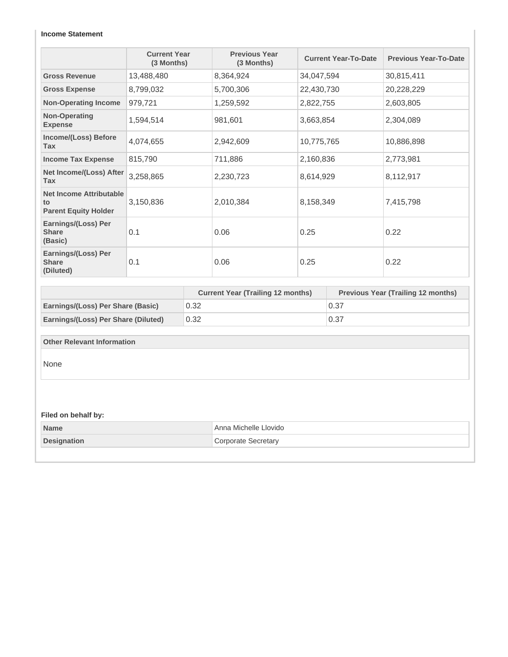#### **Income Statement**

|                                                                     | <b>Current Year</b><br>(3 Months) | <b>Previous Year</b><br>(3 Months) | <b>Current Year-To-Date</b> | <b>Previous Year-To-Date</b> |
|---------------------------------------------------------------------|-----------------------------------|------------------------------------|-----------------------------|------------------------------|
| <b>Gross Revenue</b>                                                | 13,488,480                        | 8,364,924                          | 34,047,594                  | 30,815,411                   |
| <b>Gross Expense</b>                                                | 8,799,032                         | 5,700,306                          | 22,430,730                  | 20,228,229                   |
| <b>Non-Operating Income</b>                                         | 979,721                           | 1,259,592                          | 2,822,755                   | 2,603,805                    |
| Non-Operating<br><b>Expense</b>                                     | 1,594,514                         | 981,601                            | 3,663,854                   | 2,304,089                    |
| Income/(Loss) Before<br><b>Tax</b>                                  | 4,074,655                         | 2,942,609                          | 10,775,765                  | 10,886,898                   |
| <b>Income Tax Expense</b>                                           | 815,790                           | 711,886                            | 2,160,836                   | 2,773,981                    |
| Net Income/(Loss) After<br><b>Tax</b>                               | 3,258,865                         | 2,230,723                          | 8,614,929                   | 8,112,917                    |
| <b>Net Income Attributable</b><br>to<br><b>Parent Equity Holder</b> | 3,150,836                         | 2,010,384                          | 8,158,349                   | 7,415,798                    |
| Earnings/(Loss) Per<br><b>Share</b><br>(Basic)                      | 0.1                               | 0.06                               | 0.25                        | 0.22                         |
| Earnings/(Loss) Per<br><b>Share</b><br>(Diluted)                    | 0.1                               | 0.06                               | 0.25                        | 0.22                         |

|                                          | <b>Current Year (Trailing 12 months)</b> | <b>Previous Year (Trailing 12 months)</b> |
|------------------------------------------|------------------------------------------|-------------------------------------------|
| <b>Earnings/(Loss) Per Share (Basic)</b> | 0.32                                     | 0.37                                      |
| Earnings/(Loss) Per Share (Diluted)      | 0.32                                     | 0.37                                      |

#### **Other Relevant Information**

None

#### **Filed on behalf by:**

| <b>Name</b>        | Anna Michelle Llovido |
|--------------------|-----------------------|
| <b>Designation</b> | Corporate Secretary   |
|                    |                       |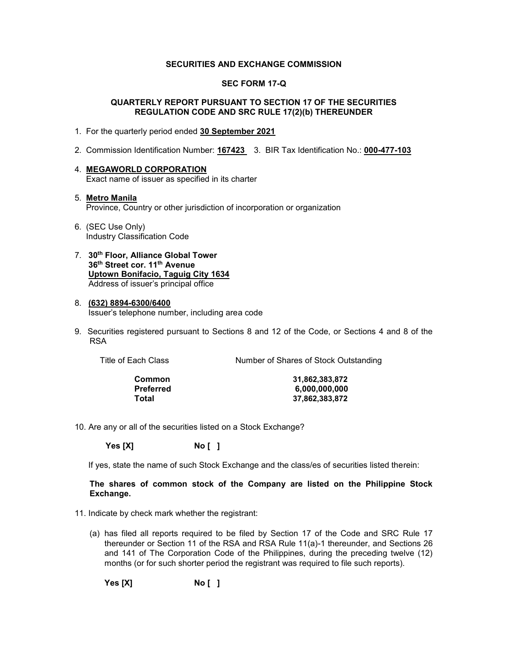#### **SECURITIES AND EXCHANGE COMMISSION**

#### **SEC FORM 17-Q**

#### **QUARTERLY REPORT PURSUANT TO SECTION 17 OF THE SECURITIES REGULATION CODE AND SRC RULE 17(2)(b) THEREUNDER**

- 1. For the quarterly period ended **30 September 2021**
- 2. Commission Identification Number: **167423** 3. BIR Tax Identification No.: **000-477-103**
- 4. **MEGAWORLD CORPORATION**  Exact name of issuer as specified in its charter
- 5. **Metro Manila**  Province, Country or other jurisdiction of incorporation or organization
- 6. (SEC Use Only) Industry Classification Code
- 7. **30th Floor, Alliance Global Tower 36th Street cor. 11th Avenue Uptown Bonifacio, Taguig City 1634** Address of issuer's principal office
- 8. **(632) 8894-6300/6400**  Issuer's telephone number, including area code
- 9. Securities registered pursuant to Sections 8 and 12 of the Code, or Sections 4 and 8 of the RSA

| Title of Each Class | Number of Shares of Stock Outstanding |
|---------------------|---------------------------------------|
|                     |                                       |

**Common 31,862,383,872 Preferred 6,000,000,000 Total 37,862,383,872**

10. Are any or all of the securities listed on a Stock Exchange?

 **Yes [X] No [ ]**

If yes, state the name of such Stock Exchange and the class/es of securities listed therein:

#### **The shares of common stock of the Company are listed on the Philippine Stock Exchange.**

- 11. Indicate by check mark whether the registrant:
	- (a) has filed all reports required to be filed by Section 17 of the Code and SRC Rule 17 thereunder or Section 11 of the RSA and RSA Rule 11(a)-1 thereunder, and Sections 26 and 141 of The Corporation Code of the Philippines, during the preceding twelve (12) months (or for such shorter period the registrant was required to file such reports).

**Yes [X] No [ ]**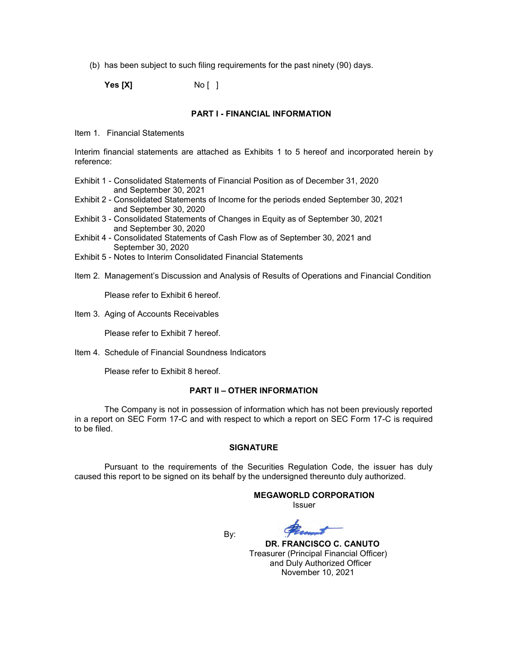(b) has been subject to such filing requirements for the past ninety (90) days.

**Yes [X]** No [ ]

#### **PART I - FINANCIAL INFORMATION**

Item 1. Financial Statements

Interim financial statements are attached as Exhibits 1 to 5 hereof and incorporated herein by reference:

- Exhibit 1 Consolidated Statements of Financial Position as of December 31, 2020 and September 30, 2021
- Exhibit 2 Consolidated Statements of Income for the periods ended September 30, 2021 and September 30, 2020
- Exhibit 3 Consolidated Statements of Changes in Equity as of September 30, 2021 and September 30, 2020
- Exhibit 4 Consolidated Statements of Cash Flow as of September 30, 2021 and September 30, 2020
- Exhibit 5 Notes to Interim Consolidated Financial Statements
- Item 2. Management's Discussion and Analysis of Results of Operations and Financial Condition

Please refer to Exhibit 6 hereof.

Item 3. Aging of Accounts Receivables

Please refer to Exhibit 7 hereof.

Item 4. Schedule of Financial Soundness Indicators

Please refer to Exhibit 8 hereof.

#### **PART II – OTHER INFORMATION**

The Company is not in possession of information which has not been previously reported in a report on SEC Form 17-C and with respect to which a report on SEC Form 17-C is required to be filed.

#### **SIGNATURE**

Pursuant to the requirements of the Securities Regulation Code, the issuer has duly caused this report to be signed on its behalf by the undersigned thereunto duly authorized.

# **MEGAWORLD CORPORATION**

*<u>Issuer</u> Issuer* **Issuer** 

By:

 **DR. FRANCISCO C. CANUTO** Treasurer (Principal Financial Officer) and Duly Authorized Officer November 10, 2021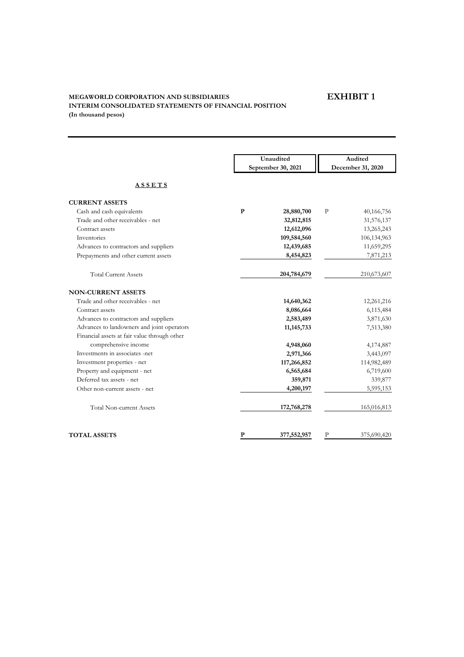# **EXHIBIT 1**

## **MEGAWORLD CORPORATION AND SUBSIDIARIES INTERIM CONSOLIDATED STATEMENTS OF FINANCIAL POSITION (In thousand pesos)**

|                                              |           | Unaudited<br>September 30, 2021 |              | Audited           |
|----------------------------------------------|-----------|---------------------------------|--------------|-------------------|
|                                              |           |                                 |              | December 31, 2020 |
| <b>ASSETS</b>                                |           |                                 |              |                   |
| <b>CURRENT ASSETS</b>                        |           |                                 |              |                   |
| Cash and cash equivalents                    | ${\bf P}$ | 28,880,700                      | $\, {\bf P}$ | 40,166,756        |
| Trade and other receivables - net            |           | 32,812,815                      |              | 31,576,137        |
| Contract assets                              |           | 12,612,096                      |              | 13,265,243        |
| Inventories                                  |           | 109,584,560                     |              | 106,134,963       |
| Advances to contractors and suppliers        |           | 12,439,685                      |              | 11,659,295        |
| Prepayments and other current assets         |           | 8,454,823                       |              | 7,871,213         |
| <b>Total Current Assets</b>                  |           | 204,784,679                     |              | 210,673,607       |
| <b>NON-CURRENT ASSETS</b>                    |           |                                 |              |                   |
| Trade and other receivables - net            |           | 14,640,362                      |              | 12,261,216        |
| Contract assets                              |           | 8,086,664                       |              | 6,115,484         |
| Advances to contractors and suppliers        |           | 2,583,489                       |              | 3,871,630         |
| Advances to landowners and joint operators   |           | 11, 145, 733                    |              | 7,513,380         |
| Financial assets at fair value through other |           |                                 |              |                   |
| comprehensive income                         |           | 4,948,060                       |              | 4,174,887         |
| Investments in associates -net               |           | 2,971,366                       |              | 3,443,097         |
| Investment properties - net                  |           | 117,266,852                     |              | 114,982,489       |
| Property and equipment - net                 |           | 6,565,684                       |              | 6,719,600         |
| Deferred tax assets - net                    |           | 359,871                         |              | 339,877           |
| Other non-current assets - net               |           | 4,200,197                       |              | 5,595,153         |
| <b>Total Non-current Assets</b>              |           | 172,768,278                     |              | 165,016,813       |
| <b>TOTAL ASSETS</b>                          | ${\bf P}$ | 377,552,957                     | P            | 375,690,420       |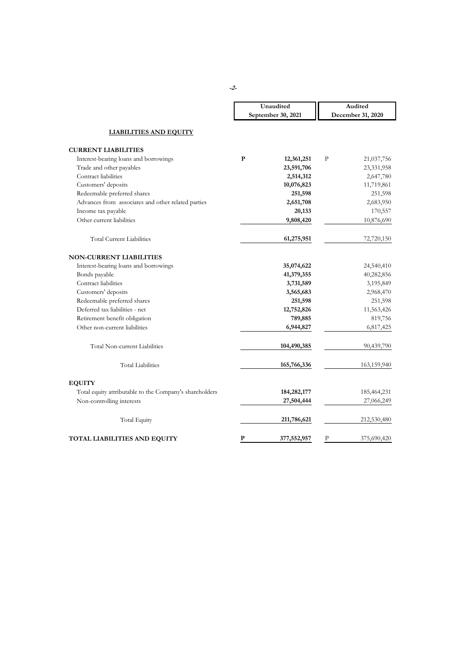|                                                         |              | Unaudited          |                   | Audited     |  |
|---------------------------------------------------------|--------------|--------------------|-------------------|-------------|--|
|                                                         |              | September 30, 2021 | December 31, 2020 |             |  |
| <b>LIABILITIES AND EQUITY</b>                           |              |                    |                   |             |  |
| <b>CURRENT LIABILITIES</b>                              |              |                    |                   |             |  |
| Interest-bearing loans and borrowings                   | ${\bf P}$    | 12,361,251         | $\mathbf{P}$      | 21,037,756  |  |
| Trade and other payables                                |              | 23,591,706         |                   | 23,331,958  |  |
| Contract liabilities                                    |              | 2,514,312          |                   | 2,647,780   |  |
| Customers' deposits                                     |              | 10,076,823         |                   | 11,719,861  |  |
| Redeemable preferred shares                             |              | 251,598            |                   | 251,598     |  |
| Advances from associates and other related parties      |              | 2,651,708          |                   | 2,683,950   |  |
| Income tax payable                                      |              | 20,133             |                   | 170,557     |  |
| Other current liabilities                               |              | 9,808,420          |                   | 10,876,690  |  |
| <b>Total Current Liabilities</b>                        |              | 61,275,951         |                   | 72,720,150  |  |
| <b>NON-CURRENT LIABILITIES</b>                          |              |                    |                   |             |  |
| Interest-bearing loans and borrowings                   |              | 35,074,622         |                   | 24,540,410  |  |
| Bonds payable                                           |              | 41,379,355         |                   | 40,282,856  |  |
| Contract liabilities                                    |              | 3,731,589          |                   | 3,195,849   |  |
| Customers' deposits                                     |              | 3,565,683          |                   | 2,968,470   |  |
| Redeemable preferred shares                             |              | 251,598            |                   | 251,598     |  |
| Deferred tax liabilities - net                          |              | 12,752,826         |                   | 11,563,426  |  |
| Retirement benefit obligation                           |              | 789,885            |                   | 819,756     |  |
| Other non-current liabilities                           |              | 6,944,827          |                   | 6,817,425   |  |
| Total Non-current Liabilities                           |              | 104,490,385        |                   | 90,439,790  |  |
| <b>Total Liabilities</b>                                |              | 165,766,336        |                   | 163,159,940 |  |
| <b>EQUITY</b>                                           |              |                    |                   |             |  |
| Total equity attributable to the Company's shareholders |              | 184,282,177        |                   | 185,464,231 |  |
| Non-controlling interests                               |              | 27,504,444         |                   | 27,066,249  |  |
| <b>Total Equity</b>                                     |              | 211,786,621        |                   | 212,530,480 |  |
| TOTAL LIABILITIES AND EQUITY                            | $\mathbf{P}$ | 377,552,957        | $\mathbf{P}$      | 375,690,420 |  |

**-2-**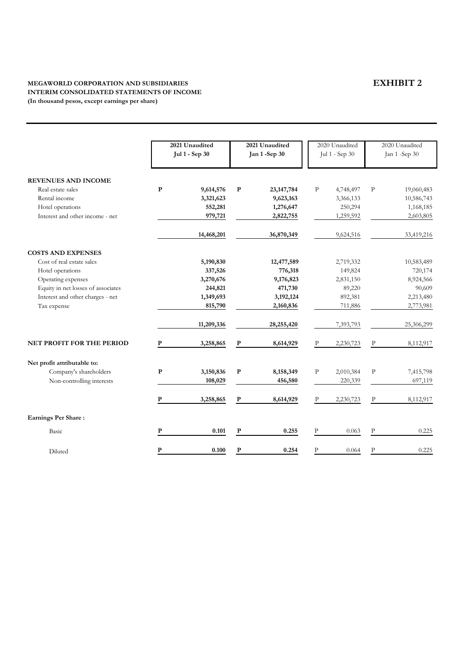## **MEGAWORLD CORPORATION AND SUBSIDIARIES INTERIM CONSOLIDATED STATEMENTS OF INCOME (In thousand pesos, except earnings per share)**

|                                    |           | 2021 Unaudited<br>Jul 1 - Sep 30 |             | 2021 Unaudited<br><b>Jan 1-Sep 30</b> |              | 2020 Unaudited<br>Jul 1 - Sep 30 |              | 2020 Unaudited<br>Jan 1-Sep 30 |
|------------------------------------|-----------|----------------------------------|-------------|---------------------------------------|--------------|----------------------------------|--------------|--------------------------------|
| <b>REVENUES AND INCOME</b>         |           |                                  |             |                                       |              |                                  |              |                                |
| Real estate sales                  | ${\bf P}$ | 9,614,576                        | ${\bf P}$   | 23, 147, 784                          | $\mathbf{P}$ | 4,748,497                        | $\mathbf P$  | 19,060,483                     |
| Rental income                      |           | 3,321,623                        |             | 9,623,163                             |              | 3,366,133                        |              | 10,586,743                     |
| Hotel operations                   |           | 552,281                          |             | 1,276,647                             |              | 250,294                          |              | 1,168,185                      |
| Interest and other income - net    |           | 979,721                          |             | 2,822,755                             |              | 1,259,592                        |              | 2,603,805                      |
|                                    |           | 14,468,201                       |             | 36,870,349                            |              | 9,624,516                        |              | 33,419,216                     |
| <b>COSTS AND EXPENSES</b>          |           |                                  |             |                                       |              |                                  |              |                                |
| Cost of real estate sales          |           | 5,190,830                        |             | 12,477,589                            |              | 2,719,332                        |              | 10,583,489                     |
| Hotel operations                   |           | 337,526                          |             | 776,318                               |              | 149,824                          |              | 720,174                        |
| Operating expenses                 |           | 3,270,676                        |             | 9,176,823                             |              | 2,831,150                        |              | 8,924,566                      |
| Equity in net losses of associates |           | 244,821                          |             | 471,730                               |              | 89,220                           |              | 90,609                         |
| Interest and other charges - net   |           | 1,349,693                        |             | 3, 192, 124                           |              | 892,381                          |              | 2,213,480                      |
| Tax expense                        |           | 815,790                          |             | 2,160,836                             |              | 711,886                          |              | 2,773,981                      |
|                                    |           | 11,209,336                       |             | 28,255,420                            |              | 7,393,793                        |              | 25,306,299                     |
| NET PROFIT FOR THE PERIOD          | P         | 3,258,865                        | ${\bf P}$   | 8,614,929                             | P            | 2,230,723                        | $\mathbf P$  | 8,112,917                      |
| Net profit attributable to:        |           |                                  |             |                                       |              |                                  |              |                                |
| Company's shareholders             | ${\bf P}$ | 3,150,836                        | ${\bf P}$   | 8,158,349                             | ${\bf P}$    | 2,010,384                        | ${\bf P}$    | 7,415,798                      |
| Non-controlling interests          |           | 108,029                          |             | 456,580                               |              | 220,339                          |              | 697,119                        |
|                                    | P         | 3,258,865                        | $\mathbf P$ | 8,614,929                             | $\mathbf{P}$ | 2,230,723                        | $\mathbf{P}$ | 8,112,917                      |
| <b>Earnings Per Share:</b>         |           |                                  |             |                                       |              |                                  |              |                                |
| Basic                              | ${\bf P}$ | 0.101                            | ${\bf P}$   | 0.255                                 | ${\bf p}$    | 0.063                            | P            | 0.225                          |
| Diluted                            | ${\bf P}$ | 0.100                            | ${\bf P}$   | 0.254                                 | $\, {\bf P}$ | 0.064                            | $\, {\bf P}$ | 0.225                          |

# **EXHIBIT 2**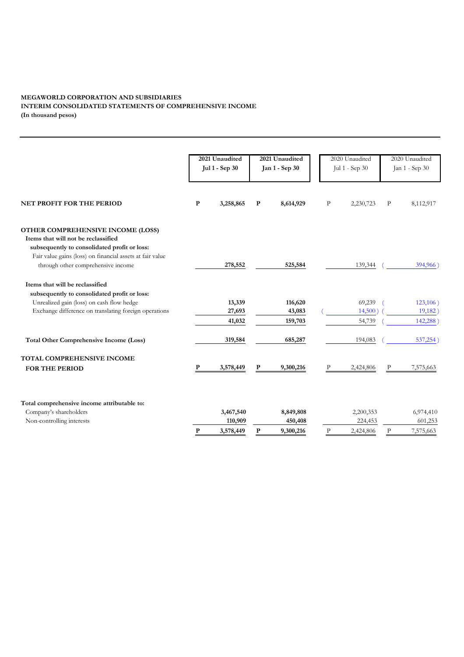## **MEGAWORLD CORPORATION AND SUBSIDIARIES INTERIM CONSOLIDATED STATEMENTS OF COMPREHENSIVE INCOME (In thousand pesos)**

|                                                                                                                          |           | 2021 Unaudited<br><b>Jul 1 - Sep 30</b> |              | 2021 Unaudited<br>Jan 1 - Sep 30 | 2020 Unaudited<br>Jul 1 - Sep 30 |           | 2020 Unaudited<br>Jan 1 - Sep 30 |           |
|--------------------------------------------------------------------------------------------------------------------------|-----------|-----------------------------------------|--------------|----------------------------------|----------------------------------|-----------|----------------------------------|-----------|
| NET PROFIT FOR THE PERIOD                                                                                                | ${\bf P}$ | 3,258,865                               | ${\bf P}$    | 8,614,929                        | $\rm P$                          | 2,230,723 | $\, {\bf P}$                     | 8,112,917 |
|                                                                                                                          |           |                                         |              |                                  |                                  |           |                                  |           |
| OTHER COMPREHENSIVE INCOME (LOSS)<br>Items that will not be reclassified<br>subsequently to consolidated profit or loss: |           |                                         |              |                                  |                                  |           |                                  |           |
| Fair value gains (loss) on financial assets at fair value<br>through other comprehensive income                          |           | 278,552                                 |              | 525,584                          |                                  | 139,344   |                                  | 394,966   |
| Items that will be reclassified<br>subsequently to consolidated profit or loss:                                          |           |                                         |              |                                  |                                  |           |                                  |           |
| Unrealized gain (loss) on cash flow hedge                                                                                |           | 13,339                                  |              | 116,620                          |                                  | 69,239    |                                  | 123,106)  |
| Exchange difference on translating foreign operations                                                                    |           | 27,693                                  |              | 43,083                           |                                  | 14,500    |                                  | 19,182    |
|                                                                                                                          |           | 41,032                                  |              | 159,703                          |                                  | 54,739    |                                  | 142,288   |
| <b>Total Other Comprehensive Income (Loss)</b>                                                                           |           | 319,584                                 |              | 685,287                          |                                  | 194,083   |                                  | 537,254   |
| TOTAL COMPREHENSIVE INCOME                                                                                               |           |                                         |              |                                  |                                  |           |                                  |           |
| <b>FOR THE PERIOD</b>                                                                                                    | ${\bf P}$ | 3,578,449                               | $\mathbf{P}$ | 9,300,216                        |                                  | 2,424,806 | $\mathbf{P}$                     | 7,575,663 |
| Total comprehensive income attributable to:                                                                              |           |                                         |              |                                  |                                  |           |                                  |           |
| Company's shareholders                                                                                                   |           | 3,467,540                               |              | 8,849,808                        |                                  | 2,200,353 |                                  | 6,974,410 |
| Non-controlling interests                                                                                                |           | 110,909                                 |              | 450,408                          |                                  | 224,453   |                                  | 601,253   |
|                                                                                                                          | ${\bf P}$ | 3,578,449                               | ${\bf P}$    | 9,300,216                        | P                                | 2,424,806 | $\mathbf{P}$                     | 7,575,663 |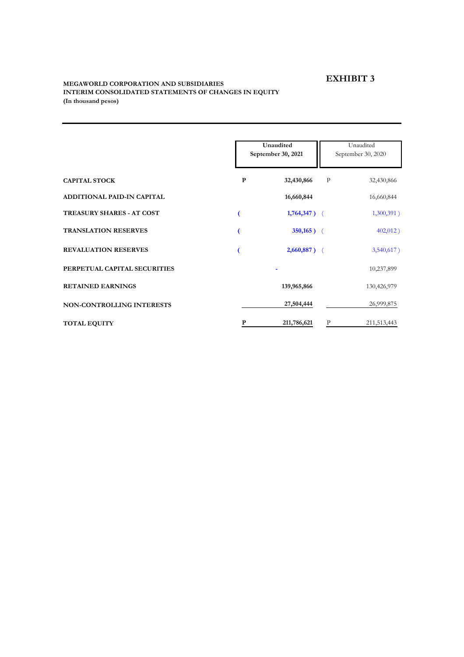## **EXHIBIT 3**

## **MEGAWORLD CORPORATION AND SUBSIDIARIES INTERIM CONSOLIDATED STATEMENTS OF CHANGES IN EQUITY (In thousand pesos)**

|                                  |           | Unaudited<br>September 30, 2021 | Unaudited<br>September 30, 2020 |               |  |
|----------------------------------|-----------|---------------------------------|---------------------------------|---------------|--|
| <b>CAPITAL STOCK</b>             | ${\bf P}$ | 32,430,866                      | $\mathbf P$                     | 32,430,866    |  |
| ADDITIONAL PAID-IN CAPITAL       |           | 16,660,844                      |                                 | 16,660,844    |  |
| <b>TREASURY SHARES - AT COST</b> |           | $1,764,347$ ) (                 |                                 | 1,300,391)    |  |
| <b>TRANSLATION RESERVES</b>      |           | $350,165$ (                     |                                 | $402,012$ )   |  |
| <b>REVALUATION RESERVES</b>      |           | $2,660,887$ ) (                 |                                 | $3,540,617$ ) |  |
| PERPETUAL CAPITAL SECURITIES     |           |                                 |                                 | 10,237,899    |  |
| <b>RETAINED EARNINGS</b>         |           | 139,965,866                     |                                 | 130,426,979   |  |
| NON-CONTROLLING INTERESTS        |           | 27,504,444                      |                                 | 26,999,875    |  |
| <b>TOTAL EQUITY</b>              | Р         | 211,786,621                     | $\mathbf P$                     | 211,513,443   |  |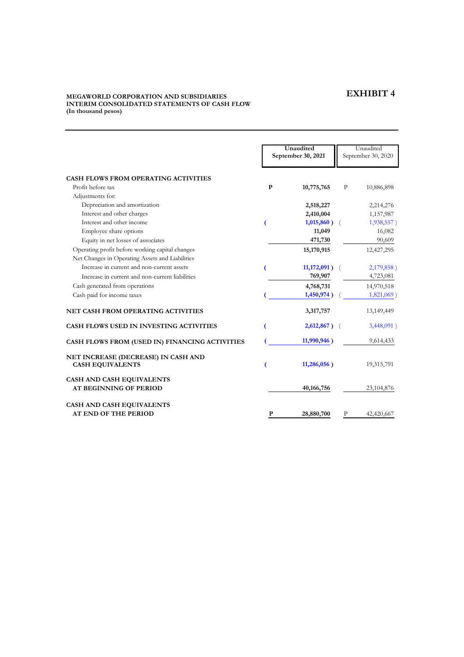## **EXHIBIT 4**

## **MEGAWORLD CORPORATION AND SUBSIDIARIES INTERIM CONSOLIDATED STATEMENTS OF CASH FLOW (In thousand pesos)**

|                                                                                                    |              | Unaudited          |              | Unaudited          |  |
|----------------------------------------------------------------------------------------------------|--------------|--------------------|--------------|--------------------|--|
|                                                                                                    |              | September 30, 2021 |              | September 30, 2020 |  |
| <b>CASH FLOWS FROM OPERATING ACTIVITIES</b>                                                        |              |                    |              |                    |  |
| Profit before tax                                                                                  | $\mathbf{P}$ | 10,775,765         | $\mathbf{P}$ | 10,886,898         |  |
| Adjustments for:                                                                                   |              |                    |              |                    |  |
| Depreciation and amortization                                                                      |              | 2,518,227          |              | 2,214,276          |  |
| Interest and other charges                                                                         |              | 2,410,004          |              | 1,157,987          |  |
| Interest and other income                                                                          |              | $1,015,860$ )      |              | 1,938,557)         |  |
| Employee share options                                                                             |              | 11,049             |              | 16,082             |  |
| Equity in net losses of associates                                                                 |              | 471,730            |              | 90,609             |  |
| Operating profit before working capital changes<br>Net Changes in Operating Assets and Liabilities |              | 15,170,915         |              | 12,427,295         |  |
| Increase in current and non-current assets                                                         |              | $11,172,091$ )     |              | 2,179,858)         |  |
| Increase in current and non-current liabilities                                                    |              | 769,907            |              | 4,723,081          |  |
| Cash generated from operations                                                                     |              | 4,768,731          |              | 14,970,518         |  |
| Cash paid for income taxes                                                                         |              | 1,450,974)         |              | $1,821,069$ )      |  |
| NET CASH FROM OPERATING ACTIVITIES                                                                 |              | 3,317,757          |              | 13,149,449         |  |
| CASH FLOWS USED IN INVESTING ACTIVITIES                                                            |              | 2,612,867)         |              | 3,448,091)         |  |
| CASH FLOWS FROM (USED IN) FINANCING ACTIVITIES                                                     |              | 11,990,946)        |              | 9,614,433          |  |
| NET INCREASE (DECREASE) IN CASH AND<br><b>CASH EQUIVALENTS</b>                                     |              | $11,286,056$ )     |              | 19,315,791         |  |
| <b>CASH AND CASH EQUIVALENTS</b><br><b>AT BEGINNING OF PERIOD</b>                                  |              | 40,166,756         |              | 23,104,876         |  |
| CASH AND CASH EQUIVALENTS                                                                          |              |                    |              |                    |  |
| <b>AT END OF THE PERIOD</b>                                                                        | P            | 28,880,700         | P            | 42,420,667         |  |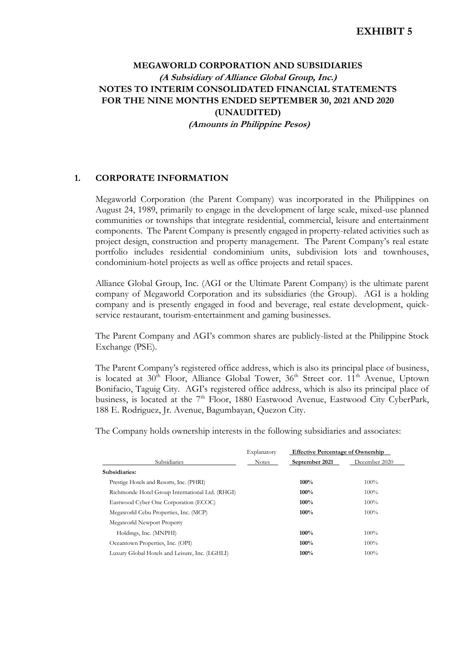## **MEGAWORLD CORPORATION AND SUBSIDIARIES (A Subsidiary of Alliance Global Group, Inc.) NOTES TO INTERIM CONSOLIDATED FINANCIAL STATEMENTS FOR THE NINE MONTHS ENDED SEPTEMBER 30, 2021 AND 2020 (UNAUDITED) (Amounts in Philippine Pesos)**

## **1. CORPORATE INFORMATION**

Megaworld Corporation (the Parent Company) was incorporated in the Philippines on August 24, 1989, primarily to engage in the development of large scale, mixed-use planned communities or townships that integrate residential, commercial, leisure and entertainment components. The Parent Company is presently engaged in property-related activities such as project design, construction and property management. The Parent Company's real estate portfolio includes residential condominium units, subdivision lots and townhouses, condominium-hotel projects as well as office projects and retail spaces.

Alliance Global Group, Inc. (AGI or the Ultimate Parent Company) is the ultimate parent company of Megaworld Corporation and its subsidiaries (the Group). AGI is a holding company and is presently engaged in food and beverage, real estate development, quickservice restaurant, tourism-entertainment and gaming businesses.

The Parent Company and AGI's common shares are publicly-listed at the Philippine Stock Exchange (PSE).

The Parent Company's registered office address, which is also its principal place of business, is located at  $30<sup>th</sup>$  Floor, Alliance Global Tower,  $36<sup>th</sup>$  Street cor.  $11<sup>th</sup>$  Avenue, Uptown Bonifacio, Taguig City. AGI's registered office address, which is also its principal place of business, is located at the 7<sup>th</sup> Floor, 1880 Eastwood Avenue, Eastwood City CyberPark, 188 E. Rodriguez, Jr. Avenue, Bagumbayan, Quezon City.

The Company holds ownership interests in the following subsidiaries and associates:

|                                                 | Explanatory  | <b>Effective Percentage of Ownership</b> |               |
|-------------------------------------------------|--------------|------------------------------------------|---------------|
| Subsidiaries                                    | <b>Notes</b> | September 2021                           | December 2020 |
| Subsidiaries:                                   |              |                                          |               |
| Prestige Hotels and Resorts, Inc. (PHRI)        |              | 100%                                     | 100%          |
| Richmonde Hotel Group International Ltd. (RHGI) |              | 100%                                     | 100%          |
| Eastwood Cyber One Corporation (ECOC)           |              | $100\%$                                  | 100%          |
| Megaworld Cebu Properties, Inc. (MCP)           |              | 100%                                     | $100\%$       |
| Megaworld Newport Property                      |              |                                          |               |
| Holdings, Inc. (MNPHI)                          |              | 100%                                     | 100%          |
| Oceantown Properties, Inc. (OPI)                |              | 100%                                     | 100%          |
| Luxury Global Hotels and Leisure, Inc. (LGHLI)  |              | 100%                                     | 100%          |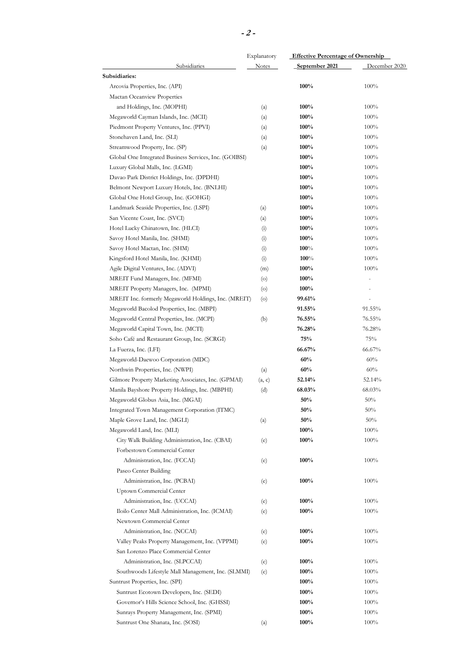|                                                        | Explanatory  | <b>Effective Percentage of Ownership</b> |                |
|--------------------------------------------------------|--------------|------------------------------------------|----------------|
| <b>Subsidiaries</b>                                    | <b>Notes</b> | September 2021                           | December 2020  |
| Subsidiaries:                                          |              |                                          |                |
| Arcovia Properties, Inc. (API)                         |              | 100%                                     | 100%           |
| Mactan Oceanview Properties                            |              |                                          |                |
| and Holdings, Inc. (MOPHI)                             | (a)          | 100%                                     | $100\%$        |
| Megaworld Cayman Islands, Inc. (MCII)                  | (a)          | 100%                                     | $100\%$        |
| Piedmont Property Ventures, Inc. (PPVI)                | (a)          | 100%                                     | 100%           |
| Stonehaven Land, Inc. (SLI)                            | (a)          | 100%                                     | $100\%$        |
| Streamwood Property, Inc. (SP)                         | (a)          | 100%                                     | 100%           |
| Global One Integrated Business Services, Inc. (GOIBSI) |              | 100%                                     | 100%           |
| Luxury Global Malls, Inc. (LGMI)                       |              | 100%                                     | 100%           |
| Davao Park District Holdings, Inc. (DPDHI)             |              | 100%                                     | 100%           |
| Belmont Newport Luxury Hotels, Inc. (BNLHI)            |              | 100%                                     | 100%           |
| Global One Hotel Group, Inc. (GOHGI)                   |              | 100%                                     | $100\%$        |
| Landmark Seaside Properties, Inc. (LSPI)               | (a)          | 100%                                     | 100%           |
| San Vicente Coast, Inc. (SVCI)                         | (a)          | 100%                                     | 100%           |
| Hotel Lucky Chinatown, Inc. (HLCI)                     | (i)          | 100%                                     | 100%           |
| Savoy Hotel Manila, Inc. (SHMI)                        | (i)          | $100\%$                                  | 100%           |
| Savoy Hotel Mactan, Inc. (SHM)                         | (i)          | $100\%$                                  | $100\%$        |
| Kingsford Hotel Manila, Inc. (KHMI)                    | (i)          | $100\%$                                  | 100%           |
| Agile Digital Ventures, Inc. (ADVI)                    | (m)          | 100%                                     | 100%           |
| MREIT Fund Managers, Inc. (MFMI)                       | $\circ$      | 100%                                     | $\overline{a}$ |
| MREIT Property Managers, Inc. (MPMI)                   | $\circ$      | $100\%$                                  |                |
| MREIT Inc. formerly Megaworld Holdings, Inc. (MREIT)   | $\circ$      | 99.61%                                   |                |
| Megaworld Bacolod Properties, Inc. (MBPI)              |              | 91.55%                                   | 91.55%         |
| Megaworld Central Properties, Inc. (MCPI)              |              | $76.55\%$                                | 76.55%         |
| Megaworld Capital Town, Inc. (MCTI)                    | (b)          | 76.28%                                   | 76.28%         |
| Soho Café and Restaurant Group, Inc. (SCRGI)           |              | 75%                                      | 75%            |
| La Fuerza, Inc. (LFI)                                  |              | 66.67%                                   | 66.67%         |
|                                                        |              | 60%                                      | 60%            |
| Megaworld-Daewoo Corporation (MDC)                     |              |                                          |                |
| Northwin Properties, Inc. (NWPI)                       | (a)          | 60%                                      | 60%            |
| Gilmore Property Marketing Associates, Inc. (GPMAI)    | (a, c)       | 52.14%                                   | 52.14%         |
| Manila Bayshore Property Holdings, Inc. (MBPHI)        | (d)          | 68.03%                                   | 68.03%         |
| Megaworld Globus Asia, Inc. (MGAI)                     |              | 50%                                      | 50%            |
| Integrated Town Management Corporation (ITMC)          |              | 50%                                      | 50%            |
| Maple Grove Land, Inc. (MGLI)                          | (a)          | $50\%$                                   | 50%            |
| Megaworld Land, Inc. (MLI)                             |              | 100%                                     | 100%           |
| City Walk Building Administration, Inc. (CBAI)         | (e)          | 100%                                     | 100%           |
| Forbestown Commercial Center                           |              |                                          |                |
| Administration, Inc. (FCCAI)                           | (e)          | 100%                                     | 100%           |
| Paseo Center Building                                  |              |                                          |                |
| Administration, Inc. (PCBAI)                           | (e)          | 100%                                     | 100%           |
| Uptown Commercial Center                               |              |                                          |                |
| Administration, Inc. (UCCAI)                           | (e)          | 100%                                     | 100%           |
| Iloilo Center Mall Administration, Inc. (ICMAI)        | (e)          | 100%                                     | 100%           |
| Newtown Commercial Center                              |              |                                          |                |
| Administration, Inc. (NCCAI)                           | (e)          | 100%                                     | 100%           |
| Valley Peaks Property Management, Inc. (VPPMI)         | (e)          | 100%                                     | 100%           |
| San Lorenzo Place Commercial Center                    |              |                                          |                |
| Administration, Inc. (SLPCCAI)                         | (e)          | 100%                                     | 100%           |
| Southwoods Lifestyle Mall Management, Inc. (SLMMI)     | (e)          | $100\%$                                  | 100%           |
| Suntrust Properties, Inc. (SPI)                        |              | 100%                                     | 100%           |
| Suntrust Ecotown Developers, Inc. (SEDI)               |              | 100%                                     | 100%           |
| Governor's Hills Science School, Inc. (GHSSI)          |              | 100%                                     |                |
|                                                        |              |                                          | 100%           |
| Sunrays Property Management, Inc. (SPMI)               |              | 100%                                     | $100\%$        |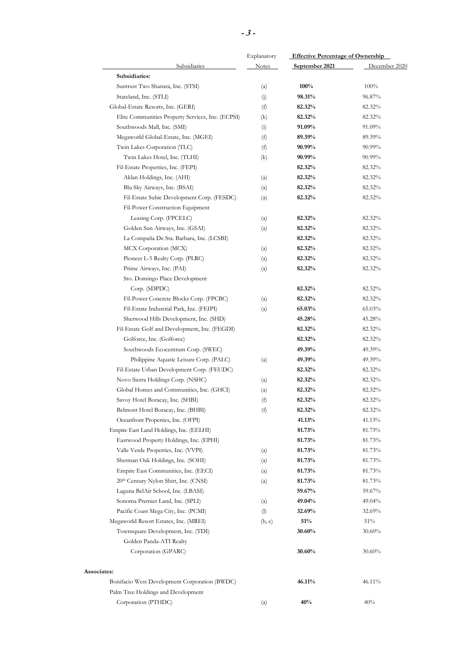|                                                   | Explanatory  | <b>Effective Percentage of Ownership</b> |               |  |
|---------------------------------------------------|--------------|------------------------------------------|---------------|--|
| <b>Subsidiaries</b>                               | <b>Notes</b> | September 2021                           | December 2020 |  |
| Subsidiaries:                                     |              |                                          |               |  |
| Suntrust Two Shanata, Inc. (STSI)                 | (a)          | 100%                                     | 100%          |  |
| Stateland, Inc. (STLI)                            | (j)          | 98.31%                                   | 96.87%        |  |
| Global-Estate Resorts, Inc. (GERI)                | (f)          | 82.32%                                   | 82.32%        |  |
| Elite Communities Property Services, Inc. (ECPSI) | (k)          | 82.32%                                   | 82.32%        |  |
| Southwoods Mall, Inc. (SMI)                       | (i)          | 91.09%                                   | 91.09%        |  |
| Megaworld Global-Estate, Inc. (MGEI)              | (f)          | 89.39%                                   | 89.39%        |  |
| Twin Lakes Corporation (TLC)                      | (f)          | 90.99%                                   | 90.99%        |  |
| Twin Lakes Hotel, Inc. (TLHI)                     | (k)          | 90.99%                                   | 90.99%        |  |
| Fil-Estate Properties, Inc. (FEPI)                |              | 82.32%                                   | 82.32%        |  |
| Aklan Holdings, Inc. (AHI)                        | (a)          | 82.32%                                   | 82.32%        |  |
| Blu Sky Airways, Inc. (BSAI)                      | (a)          | 82.32%                                   | 82.32%        |  |
| Fil-Estate Subic Development Corp. (FESDC)        | (a)          | 82.32%                                   | 82.32%        |  |
| Fil-Power Construction Equipment                  |              |                                          |               |  |
| Leasing Corp. (FPCELC)                            |              |                                          |               |  |
|                                                   | (a)          | 82.32%                                   | 82.32%        |  |
| Golden Sun Airways, Inc. (GSAI)                   | (a)          | 82.32%                                   | 82.32%        |  |
| La Compaña De Sta. Barbara, Inc. (LCSBI)          |              | 82.32%                                   | 82.32%        |  |
| MCX Corporation (MCX)                             | (a)          | 82.32%                                   | 82.32%        |  |
| Pioneer L-5 Realty Corp. (PLRC)                   | (a)          | 82.32%                                   | 82.32%        |  |
| Prime Airways, Inc. (PAI)                         | (a)          | 82.32%                                   | 82.32%        |  |
| Sto. Domingo Place Development                    |              |                                          |               |  |
| Corp. (SDPDC)                                     |              | 82.32%                                   | 82.32%        |  |
| Fil-Power Concrete Blocks Corp. (FPCBC)           | (a)          | 82.32%                                   | 82.32%        |  |
| Fil-Estate Industrial Park, Inc. (FEIPI)          | (a)          | $65.03\%$                                | 65.03%        |  |
| Sherwood Hills Development, Inc. (SHD)            |              | 45.28%                                   | 45.28%        |  |
| Fil-Estate Golf and Development, Inc. (FEGDI)     |              | 82.32%                                   | 82.32%        |  |
| Golforce, Inc. (Golforce)                         |              | 82.32%                                   | 82.32%        |  |
| Southwoods Ecocentrum Corp. (SWEC)                |              | 49.39%                                   | 49.39%        |  |
| Philippine Aquatic Leisure Corp. (PALC)           | (a)          | 49.39%                                   | 49.39%        |  |
| Fil-Estate Urban Development Corp. (FEUDC)        |              | 82.32%                                   | 82.32%        |  |
| Novo Sierra Holdings Corp. (NSHC)                 | (a)          | 82.32%                                   | 82.32%        |  |
| Global Homes and Communities, Inc. (GHCI)         | (a)          | 82.32%                                   | 82.32%        |  |
| Savoy Hotel Boracay, Inc. (SHBI)                  | (f)          | 82.32%                                   | 82.32%        |  |
| Belmont Hotel Boracay, Inc. (BHBI)                | (f)          | 82.32%                                   | 82.32%        |  |
| Oceanfront Properties, Inc. (OFPI)                |              | 41.13%                                   | 41.13%        |  |
| Empire East Land Holdings, Inc. (EELHI)           |              | 81.73%                                   | 81.73%        |  |
| Eastwood Property Holdings, Inc. (EPHI)           |              | 81.73%                                   | 81.73%        |  |
| Valle Verde Properties, Inc. (VVPI)               | (a)          | 81.73%                                   | 81.73%        |  |
| Sherman Oak Holdings, Inc. (SOHI)                 | (a)          | 81.73%                                   | 81.73%        |  |
| Empire East Communities, Inc. (EECI)              | (a)          | 81.73%                                   | 81.73%        |  |
| 20th Century Nylon Shirt, Inc. (CNSI)             | (a)          | 81.73%                                   | 81.73%        |  |
| Laguna BelAir School, Inc. (LBASI)                |              | 59.67%                                   | 59.67%        |  |
| Sonoma Premier Land, Inc. (SPLI)                  | (a)          | 49.04%                                   | 49.04%        |  |
| Pacific Coast Mega City, Inc. (PCMI)              | (1)          | 32.69%                                   | 32.69%        |  |
|                                                   |              | $51\%$                                   | 51%           |  |
| Megaworld Resort Estates, Inc. (MREI)             | (b, c)       |                                          |               |  |
| Townsquare Development, Inc. (TDI)                |              | 30.60%                                   | $30.60\%$     |  |
| Golden Panda-ATI Realty                           |              |                                          |               |  |
| Corporation (GPARC)                               |              | 30.60%                                   | $30.60\%$     |  |
| Associates:                                       |              |                                          |               |  |
| Bonifacio West Development Corporation (BWDC)     |              | 46.11%                                   | 46.11%        |  |
| Palm Tree Holdings and Development                |              |                                          |               |  |
| Corporation (PTHDC)                               | (a)          | 40%                                      | 40%           |  |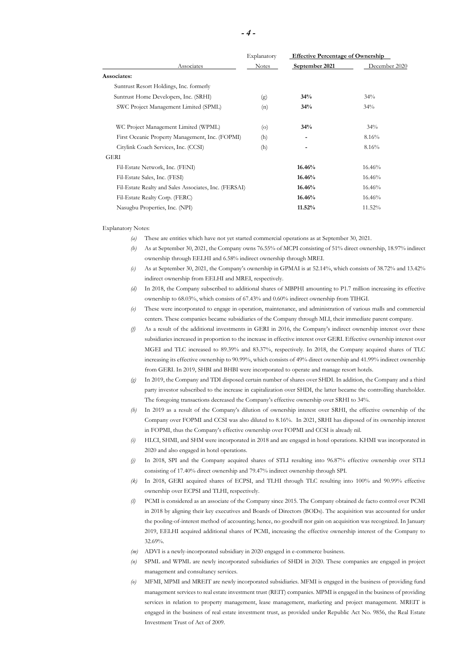|                                                       | Explanatory  |                | <b>Effective Percentage of Ownership</b> |  |
|-------------------------------------------------------|--------------|----------------|------------------------------------------|--|
| Associates                                            | <b>Notes</b> | September 2021 | December 2020                            |  |
| Associates:                                           |              |                |                                          |  |
| Suntrust Resort Holdings, Inc. formerly               |              |                |                                          |  |
| Suntrust Home Developers, Inc. (SRHI)                 | (g)          | 34%            | 34%                                      |  |
| SWC Project Management Limited (SPML)                 | (n)          | 34%            | 34%                                      |  |
| WC Project Management Limited (WPML)                  | $\circ$      | 34%            | 34%                                      |  |
| First Oceanic Property Management, Inc. (FOPMI)       | (h)          |                | 8.16%                                    |  |
| Citylink Coach Services, Inc. (CCSI)                  | (h)          |                | 8.16%                                    |  |
| GERI                                                  |              |                |                                          |  |
| Fil-Estate Network, Inc. (FENI)                       |              | 16.46%         | 16.46%                                   |  |
| Fil-Estate Sales, Inc. (FESI)                         |              | 16.46%         | 16.46%                                   |  |
| Fil-Estate Realty and Sales Associates, Inc. (FERSAI) |              | 16.46%         | 16.46%                                   |  |
| Fil-Estate Realty Corp. (FERC)                        |              | 16.46%         | 16.46%                                   |  |
| Nasugbu Properties, Inc. (NPI)                        |              | 11.52%         | 11.52%                                   |  |

#### Explanatory Notes:

- *(a)* These are entities which have not yet started commercial operations as at September 30, 2021.
- *(b)* As at September 30, 2021, the Company owns 76.55% of MCPI consisting of 51% direct ownership, 18.97% indirect ownership through EELHI and 6.58% indirect ownership through MREI.
- *(c)* As at September 30, 2021, the Company's ownership in GPMAI is at 52.14%, which consists of 38.72% and 13.42% indirect ownership from EELHI and MREI, respectively.
- *(d)* In 2018, the Company subscribed to additional shares of MBPHI amounting to P1.7 million increasing its effective ownership to 68.03%, which consists of 67.43% and 0.60% indirect ownership from TIHGI.
- *(e)* These were incorporated to engage in operation, maintenance, and administration of various malls and commercial centers. These companies became subsidiaries of the Company through MLI, their immediate parent company.
- *(f)* As a result of the additional investments in GERI in 2016, the Company's indirect ownership interest over these subsidiaries increased in proportion to the increase in effective interest over GERI. Effective ownership interest over MGEI and TLC increased to 89.39% and 83.37%, respectively. In 2018, the Company acquired shares of TLC increasing its effective ownership to 90.99%, which consists of 49% direct ownership and 41.99% indirect ownership from GERI. In 2019, SHBI and BHBI were incorporated to operate and manage resort hotels.
- *(g)* In 2019, the Company and TDI disposed certain number of shares over SHDI. In addition, the Company and a third party investor subscribed to the increase in capitalization over SHDI, the latter became the controlling shareholder. The foregoing transactions decreased the Company's effective ownership over SRHI to 34%.
- *(h)* In 2019 as a result of the Company's dilution of ownership interest over SRHI, the effective ownership of the Company over FOPMI and CCSI was also diluted to 8.16%. In 2021, SRHI has disposed of its ownership interest in FOPMI, thus the Company's effective ownership over FOPMI and CCSI is already nil.
- *(i)* HLCI, SHMI, and SHM were incorporated in 2018 and are engaged in hotel operations. KHMI was incorporated in 2020 and also engaged in hotel operations.
- *(j)* In 2018, SPI and the Company acquired shares of STLI resulting into 96.87% effective ownership over STLI consisting of 17.40% direct ownership and 79.47% indirect ownership through SPI.
- *(k)* In 2018, GERI acquired shares of ECPSI, and TLHI through TLC resulting into 100% and 90.99% effective ownership over ECPSI and TLHI, respectively.
- *(l)* PCMI is considered as an associate of the Company since 2015. The Company obtained de facto control over PCMI in 2018 by aligning their key executives and Boards of Directors (BODs). The acquisition was accounted for under the pooling-of-interest method of accounting; hence, no goodwill nor gain on acquisition was recognized. In January 2019, EELHI acquired additional shares of PCMI, increasing the effective ownership interest of the Company to 32.69%.
- *(m)* ADVI is a newly-incorporated subsidiary in 2020 engaged in e-commerce business.
- *(n)* SPML and WPML are newly incorporated subsidiaries of SHDI in 2020. These companies are engaged in project management and consultancy services.
- *(o)* MFMI, MPMI and MREIT are newly incorporated subsidiaries. MFMI is engaged in the business of providing fund management services to real estate investment trust (REIT) companies. MPMI is engaged in the business of providing services in relation to property management, lease management, marketing and project management. MREIT is engaged in the business of real estate investment trust, as provided under Republic Act No. 9856, the Real Estate Investment Trust of Act of 2009.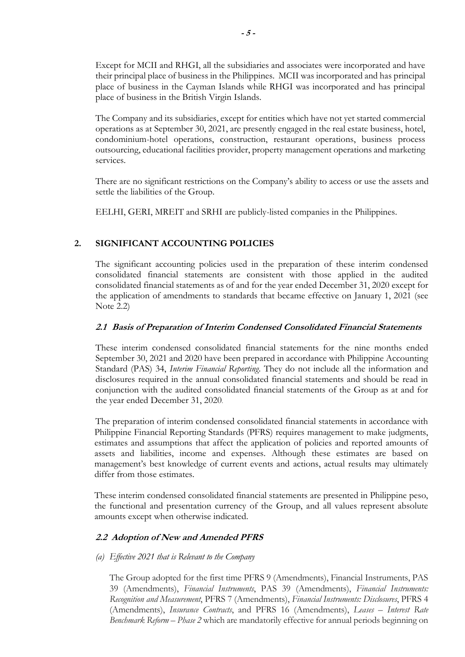Except for MCII and RHGI, all the subsidiaries and associates were incorporated and have their principal place of business in the Philippines. MCII was incorporated and has principal place of business in the Cayman Islands while RHGI was incorporated and has principal place of business in the British Virgin Islands.

The Company and its subsidiaries, except for entities which have not yet started commercial operations as at September 30, 2021, are presently engaged in the real estate business, hotel, condominium-hotel operations, construction, restaurant operations, business process outsourcing, educational facilities provider, property management operations and marketing services.

There are no significant restrictions on the Company's ability to access or use the assets and settle the liabilities of the Group.

EELHI, GERI, MREIT and SRHI are publicly-listed companies in the Philippines.

## **2. SIGNIFICANT ACCOUNTING POLICIES**

The significant accounting policies used in the preparation of these interim condensed consolidated financial statements are consistent with those applied in the audited consolidated financial statements as of and for the year ended December 31, 2020 except for the application of amendments to standards that became effective on January 1, 2021 (see Note 2.2)

## **2.1 Basis of Preparation of Interim Condensed Consolidated Financial Statements**

These interim condensed consolidated financial statements for the nine months ended September 30, 2021 and 2020 have been prepared in accordance with Philippine Accounting Standard (PAS) 34, *Interim Financial Reporting*. They do not include all the information and disclosures required in the annual consolidated financial statements and should be read in conjunction with the audited consolidated financial statements of the Group as at and for the year ended December 31, 2020.

The preparation of interim condensed consolidated financial statements in accordance with Philippine Financial Reporting Standards (PFRS) requires management to make judgments, estimates and assumptions that affect the application of policies and reported amounts of assets and liabilities, income and expenses. Although these estimates are based on management's best knowledge of current events and actions, actual results may ultimately differ from those estimates.

These interim condensed consolidated financial statements are presented in Philippine peso, the functional and presentation currency of the Group, and all values represent absolute amounts except when otherwise indicated.

## **2.2 Adoption of New and Amended PFRS**

## *(a) Effective 2021 that is Relevant to the Company*

The Group adopted for the first time PFRS 9 (Amendments), Financial Instruments, PAS 39 (Amendments), *Financial Instruments*, PAS 39 (Amendments), *Financial Instruments: Recognition and Measurement*, PFRS 7 (Amendments), *Financial Instruments: Disclosures*, PFRS 4 (Amendments), *Insurance Contracts*, and PFRS 16 (Amendments), *Leases – Interest Rate Benchmark Reform – Phase 2* which are mandatorily effective for annual periods beginning on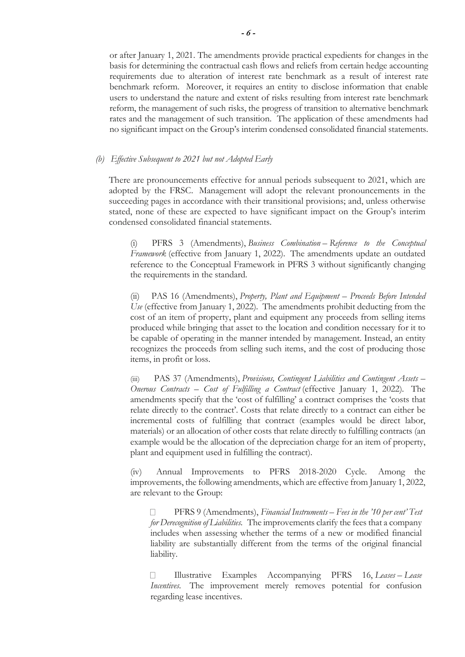or after January 1, 2021. The amendments provide practical expedients for changes in the basis for determining the contractual cash flows and reliefs from certain hedge accounting requirements due to alteration of interest rate benchmark as a result of interest rate benchmark reform. Moreover, it requires an entity to disclose information that enable users to understand the nature and extent of risks resulting from interest rate benchmark reform, the management of such risks, the progress of transition to alternative benchmark rates and the management of such transition. The application of these amendments had no significant impact on the Group's interim condensed consolidated financial statements.

#### *(b) Effective Subsequent to 2021 but not Adopted Early*

There are pronouncements effective for annual periods subsequent to 2021, which are adopted by the FRSC. Management will adopt the relevant pronouncements in the succeeding pages in accordance with their transitional provisions; and, unless otherwise stated, none of these are expected to have significant impact on the Group's interim condensed consolidated financial statements.

(i) PFRS 3 (Amendments), *Business Combination* – *Reference to the Conceptual Framework* (effective from January 1, 2022). The amendments update an outdated reference to the Conceptual Framework in PFRS 3 without significantly changing the requirements in the standard.

(ii) PAS 16 (Amendments), *Property, Plant and Equipment – Proceeds Before Intended Use* (effective from January 1, 2022). The amendments prohibit deducting from the cost of an item of property, plant and equipment any proceeds from selling items produced while bringing that asset to the location and condition necessary for it to be capable of operating in the manner intended by management. Instead, an entity recognizes the proceeds from selling such items, and the cost of producing those items, in profit or loss.

(iii) PAS 37 (Amendments), *Provisions, Contingent Liabilities and Contingent Assets – Onerous Contracts – Cost of Fulfilling a Contract* (effective January 1, 2022)*.* The amendments specify that the 'cost of fulfilling' a contract comprises the 'costs that relate directly to the contract'. Costs that relate directly to a contract can either be incremental costs of fulfilling that contract (examples would be direct labor, materials) or an allocation of other costs that relate directly to fulfilling contracts (an example would be the allocation of the depreciation charge for an item of property, plant and equipment used in fulfilling the contract).

(iv) Annual Improvements to PFRS 2018-2020 Cycle. Among the improvements, the following amendments, which are effective from January 1, 2022, are relevant to the Group:

П PFRS 9 (Amendments), *Financial Instruments – Fees in the '10 per cent' Test for Derecognition of Liabilities.* The improvements clarify the fees that a company includes when assessing whether the terms of a new or modified financial liability are substantially different from the terms of the original financial liability.

 Illustrative Examples Accompanying PFRS 16, *Leases* – *Lease*  $\Box$ *Incentives*. The improvement merely removes potential for confusion regarding lease incentives.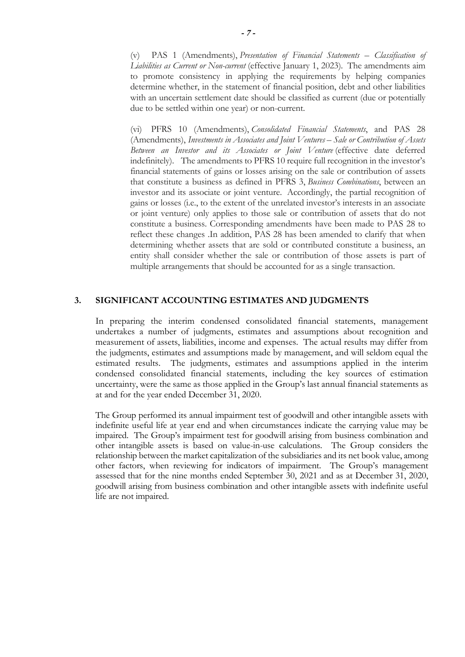(v) PAS 1 (Amendments), *Presentation of Financial Statements – Classification of Liabilities as Current or Non-current* (effective January 1, 2023)*.* The amendments aim to promote consistency in applying the requirements by helping companies determine whether, in the statement of financial position, debt and other liabilities with an uncertain settlement date should be classified as current (due or potentially due to be settled within one year) or non-current.

(vi) PFRS 10 (Amendments), *Consolidated Financial Statements*, and PAS 28 (Amendments), *Investments in Associates and Joint Ventures – Sale or Contribution of Assets Between an Investor and its Associates or Joint Venture* (effective date deferred indefinitely). The amendments to PFRS 10 require full recognition in the investor's financial statements of gains or losses arising on the sale or contribution of assets that constitute a business as defined in PFRS 3, *Business Combinations*, between an investor and its associate or joint venture. Accordingly, the partial recognition of gains or losses (i.e., to the extent of the unrelated investor's interests in an associate or joint venture) only applies to those sale or contribution of assets that do not constitute a business. Corresponding amendments have been made to PAS 28 to reflect these changes .In addition, PAS 28 has been amended to clarify that when determining whether assets that are sold or contributed constitute a business, an entity shall consider whether the sale or contribution of those assets is part of multiple arrangements that should be accounted for as a single transaction.

### **3. SIGNIFICANT ACCOUNTING ESTIMATES AND JUDGMENTS**

In preparing the interim condensed consolidated financial statements, management undertakes a number of judgments, estimates and assumptions about recognition and measurement of assets, liabilities, income and expenses. The actual results may differ from the judgments, estimates and assumptions made by management, and will seldom equal the estimated results. The judgments, estimates and assumptions applied in the interim condensed consolidated financial statements, including the key sources of estimation uncertainty, were the same as those applied in the Group's last annual financial statements as at and for the year ended December 31, 2020.

The Group performed its annual impairment test of goodwill and other intangible assets with indefinite useful life at year end and when circumstances indicate the carrying value may be impaired. The Group's impairment test for goodwill arising from business combination and other intangible assets is based on value-in-use calculations. The Group considers the relationship between the market capitalization of the subsidiaries and its net book value, among other factors, when reviewing for indicators of impairment. The Group's management assessed that for the nine months ended September 30, 2021 and as at December 31, 2020, goodwill arising from business combination and other intangible assets with indefinite useful life are not impaired.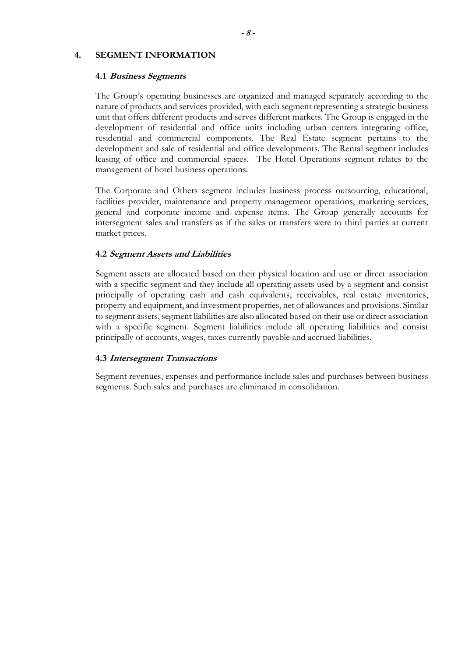### **4. SEGMENT INFORMATION**

#### **4.1 Business Segments**

The Group's operating businesses are organized and managed separately according to the nature of products and services provided, with each segment representing a strategic business unit that offers different products and serves different markets. The Group is engaged in the development of residential and office units including urban centers integrating office, residential and commercial components. The Real Estate segment pertains to the development and sale of residential and office developments. The Rental segment includes leasing of office and commercial spaces. The Hotel Operations segment relates to the management of hotel business operations.

The Corporate and Others segment includes business process outsourcing, educational, facilities provider, maintenance and property management operations, marketing services, general and corporate income and expense items. The Group generally accounts for intersegment sales and transfers as if the sales or transfers were to third parties at current market prices.

### **4.2 Segment Assets and Liabilities**

Segment assets are allocated based on their physical location and use or direct association with a specific segment and they include all operating assets used by a segment and consist principally of operating cash and cash equivalents, receivables, real estate inventories, property and equipment, and investment properties, net of allowances and provisions. Similar to segment assets, segment liabilities are also allocated based on their use or direct association with a specific segment. Segment liabilities include all operating liabilities and consist principally of accounts, wages, taxes currently payable and accrued liabilities.

#### **4.3 Intersegment Transactions**

Segment revenues, expenses and performance include sales and purchases between business segments. Such sales and purchases are eliminated in consolidation.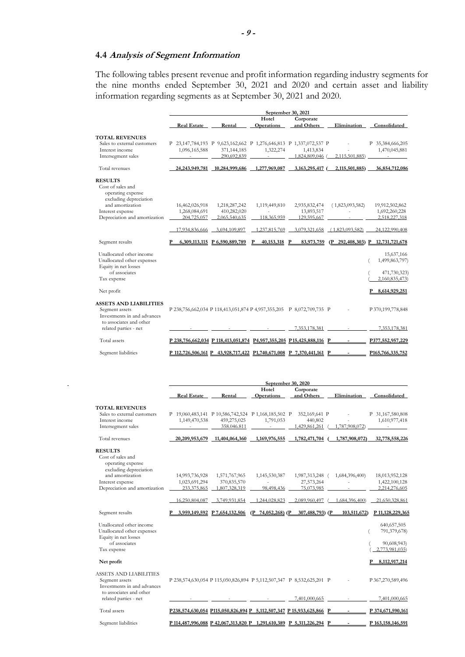#### **4.4 Analysis of Segment Information**

The following tables present revenue and profit information regarding industry segments for the nine months ended September 30, 2021 and 2020 and certain asset and liability information regarding segments as at September 30, 2021 and 2020.

|                                                                                                                                                             |                                                                                     |                                                                |                                               | September 30, 2021                                          |                                    |                                                                                 |
|-------------------------------------------------------------------------------------------------------------------------------------------------------------|-------------------------------------------------------------------------------------|----------------------------------------------------------------|-----------------------------------------------|-------------------------------------------------------------|------------------------------------|---------------------------------------------------------------------------------|
|                                                                                                                                                             | <b>Real Estate</b>                                                                  | Rental                                                         | Hotel<br><b>Operations</b>                    | Corporate<br>and Others                                     | Elimination                        | Consolidated                                                                    |
| <b>TOTAL REVENUES</b><br>Sales to external customers<br>Interest income<br>Intersegment sales                                                               | P 23,147,784,193 P 9,623,162,662 P 1,276,646,813 P 1,337,072,537 P<br>1,096,165,588 | 371,144,185<br>290,692,839                                     | 1,322,274                                     | 1,413,834<br>1.824.809.046                                  | 2.115.501.885)                     | P 35,384,666,205<br>1,470,045,881                                               |
| Total revenues                                                                                                                                              |                                                                                     | 24, 243, 949, 781 10, 284, 999, 686                            | 1,277,969,087                                 | 3,163,295,417 (                                             | 2,115,501,885)                     | 36,854,712,086                                                                  |
| <b>RESULTS</b><br>Cost of sales and<br>operating expense<br>excluding depreciation<br>and amortization<br>Interest expense<br>Depreciation and amortization | 16,462,026,918<br>1,268,084,691<br>204,725,057<br>17,934,836,666                    | 1,218,287,242<br>410,282,020<br>2,065,540,635<br>3,694,109,897 | 1,119,449,810<br>118,365,959<br>1,237,815,769 | 2,935,832,474<br>13,893,517<br>129,595,667<br>3,079,321,658 | (1,823,093,582)<br>(1,823,093,582) | 19,912,502,862<br>1,692,260,228<br>2,518,227,318<br>24,122,990,408              |
| Segment results                                                                                                                                             |                                                                                     | 6,309,113,115 P 6,590,889,789                                  | Р<br>40,153,318                               | 83.973.759<br>$\mathbf{P}$                                  |                                    | (P 292,408,303) P 12,731,721,678                                                |
| Unallocated other income<br>Unallocated other expenses<br>Equity in net losses<br>of associates<br>Tax expense<br>Net profit                                |                                                                                     |                                                                |                                               |                                                             |                                    | 15,637,166<br>1,499,863,797)<br>471,730,323)<br>2,160,835,473)<br>8.614.929.251 |
| <b>ASSETS AND LIABILITIES</b><br>Segment assets<br>Investments in and advances<br>to associates and other                                                   | P 238,756,662,034 P 118,413,051,874 P 4,957,355,205 P 8,072,709,735 P               |                                                                |                                               |                                                             |                                    | P 370,199,778,848                                                               |
| related parties - net                                                                                                                                       |                                                                                     |                                                                |                                               | 7.353.178.381                                               |                                    | 7.353.178.381                                                                   |
| Total assets                                                                                                                                                | P 238,756,662,034 P 118,413,051,874 P 4,957,355,205 P 15,425,888,116 P              |                                                                |                                               |                                                             |                                    | P377,552,957,229                                                                |
| Segment liabilities                                                                                                                                         | P 112,726,506,161 P 43,928,717,422 P1,740,671,008 P 7,370,441,161 P                 |                                                                |                                               |                                                             |                                    | P <sub>165</sub> , 766, 335, 752                                                |

|                               | September 30, 2020                                                    |                               |                      |                         |                |                   |  |
|-------------------------------|-----------------------------------------------------------------------|-------------------------------|----------------------|-------------------------|----------------|-------------------|--|
|                               | <b>Real Estate</b>                                                    | Rental                        | Hotel<br>Operations  | Corporate<br>and Others | Elimination    | Consolidated      |  |
|                               |                                                                       |                               |                      |                         |                |                   |  |
| <b>TOTAL REVENUES</b>         |                                                                       |                               |                      |                         |                |                   |  |
| Sales to external customers   | P 19,060,483,141 P 10,586,742,524 P 1,168,185,502 P                   |                               |                      | 352,169,641 P           |                | P 31,167,580,808  |  |
| Interest income               | 1,149,470,538                                                         | 459,275,025                   | 1,791,053            | 440,802                 |                | 1,610,977,418     |  |
| Intersegment sales            |                                                                       | 358.046.811                   |                      | 1,429,861,261           | 1,787,908,072) |                   |  |
| Total revenues                | 20,209,953,679                                                        | 11,404,064,360                | 1,169,976,555        | 1,782,471,704           | 1,787,908,072) | 32,778,558,226    |  |
| <b>RESULTS</b>                |                                                                       |                               |                      |                         |                |                   |  |
| Cost of sales and             |                                                                       |                               |                      |                         |                |                   |  |
| operating expense             |                                                                       |                               |                      |                         |                |                   |  |
| excluding depreciation        |                                                                       |                               |                      |                         |                |                   |  |
| and amortization              | 14,993,736,928                                                        | 1,571,767,965                 | 1,145,530,387        | 1,987,313,248 (         | 1,684,396,400) | 18,013,952,128    |  |
| Interest expense              | 1,023,691,294                                                         | 370,835,570                   |                      | 27,573,264              |                | 1,422,100,128     |  |
| Depreciation and amortization | 233,375,865                                                           | 1,807,328,319                 | 98,498,436           | 75,073,985              |                | 2,214,276,605     |  |
|                               | 16.250.804.087                                                        | 3.749,931,854                 | 1.244.028.823        | 2.089.960.497           | 1.684,396,400) | 21,650,328,861    |  |
| Segment results               |                                                                       | 3,959,149,592 P 7,654,132,506 | 74,052,268) (P<br>(P | 307,488,793) (P         | 103,511,672)   | P 11,128,229,365  |  |
| Unallocated other income      |                                                                       |                               |                      |                         |                | 640,657,505       |  |
| Unallocated other expenses    |                                                                       |                               |                      |                         |                | 791,379,678)      |  |
| Equity in net losses          |                                                                       |                               |                      |                         |                |                   |  |
| of associates                 |                                                                       |                               |                      |                         |                | 90,608,943)       |  |
| Tax expense                   |                                                                       |                               |                      |                         |                | 2,773,981,035)    |  |
| Net profit                    |                                                                       |                               |                      |                         |                | P 8,112,917,214   |  |
| <b>ASSETS AND LIABILITIES</b> |                                                                       |                               |                      |                         |                |                   |  |
| Segment assets                | P 238,574,630,054 P 115,050,826,894 P 5,112,507,347 P 8,532,625,201 P |                               |                      |                         |                | P 367,270,589,496 |  |
| Investments in and advances   |                                                                       |                               |                      |                         |                |                   |  |
| to associates and other       |                                                                       |                               |                      |                         |                |                   |  |
| related parties - net         |                                                                       |                               |                      | 7.401.000.665           |                | 7,401,000,665     |  |
| Total assets                  | P238.574.630.054 P115.050.826.894 P 5.112.507.347 P 15.933.625.866 P  |                               |                      |                         |                | P 374,671,590,161 |  |
| Segment liabilities           | P 114,487,996,088 P 42,067,313,820 P 1,291,610,389 P 5,311,226,294 P  |                               |                      |                         |                | P 163,158,146,591 |  |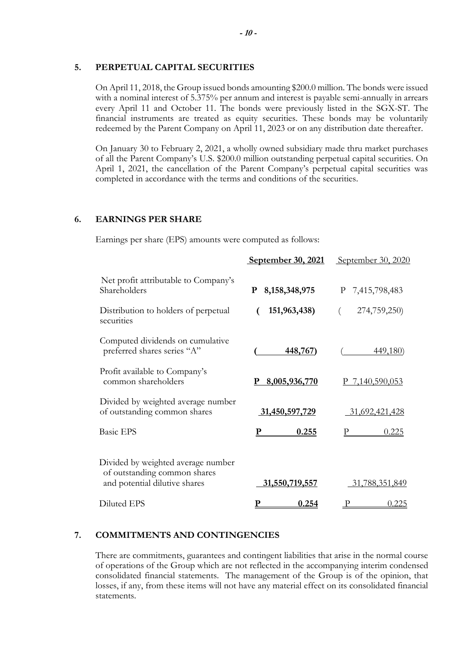#### **5. PERPETUAL CAPITAL SECURITIES**

On April 11, 2018, the Group issued bonds amounting \$200.0 million. The bonds were issued with a nominal interest of 5.375% per annum and interest is payable semi-annually in arrears every April 11 and October 11. The bonds were previously listed in the SGX-ST. The financial instruments are treated as equity securities. These bonds may be voluntarily redeemed by the Parent Company on April 11, 2023 or on any distribution date thereafter.

On January 30 to February 2, 2021, a wholly owned subsidiary made thru market purchases of all the Parent Company's U.S. \$200.0 million outstanding perpetual capital securities. On April 1, 2021, the cancellation of the Parent Company's perpetual capital securities was completed in accordance with the terms and conditions of the securities.

## **6. EARNINGS PER SHARE**

Earnings per share (EPS) amounts were computed as follows:

|                                                                                                     | September 30, 2021    | September 30, 2020 |
|-----------------------------------------------------------------------------------------------------|-----------------------|--------------------|
| Net profit attributable to Company's<br>Shareholders                                                | 8, 158, 348, 975<br>P | P 7,415,798,483    |
| Distribution to holders of perpetual<br>securities                                                  | 151,963,438)          | 274,759,250)       |
| Computed dividends on cumulative<br>preferred shares series "A"                                     | 448,767)              | 449,180)           |
| Profit available to Company's<br>common shareholders                                                | P 8,005,936,770       | P 7,140,590,053    |
| Divided by weighted average number<br>of outstanding common shares                                  | 31,450,597,729        | 31,692,421,428     |
| <b>Basic EPS</b>                                                                                    | 0.255                 | 0.225              |
| Divided by weighted average number<br>of outstanding common shares<br>and potential dilutive shares | 31,550,719,557        | 31,788,351,849     |
| Diluted EPS                                                                                         | 0.254                 | 0.225              |

## **7. COMMITMENTS AND CONTINGENCIES**

There are commitments, guarantees and contingent liabilities that arise in the normal course of operations of the Group which are not reflected in the accompanying interim condensed consolidated financial statements. The management of the Group is of the opinion, that losses, if any, from these items will not have any material effect on its consolidated financial statements.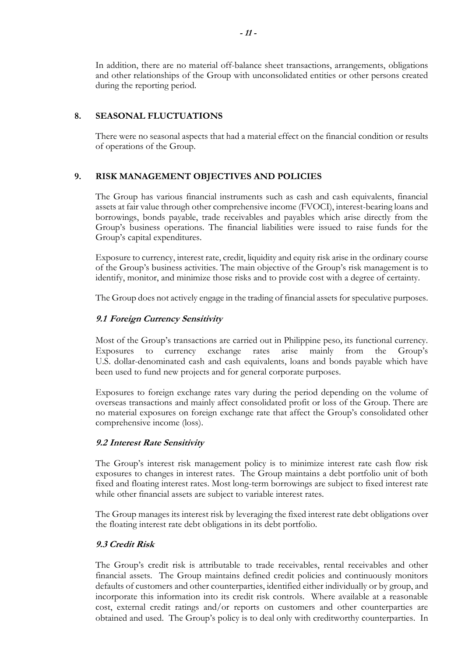In addition, there are no material off-balance sheet transactions, arrangements, obligations and other relationships of the Group with unconsolidated entities or other persons created during the reporting period.

## **8. SEASONAL FLUCTUATIONS**

There were no seasonal aspects that had a material effect on the financial condition or results of operations of the Group.

## **9. RISK MANAGEMENT OBJECTIVES AND POLICIES**

The Group has various financial instruments such as cash and cash equivalents, financial assets at fair value through other comprehensive income (FVOCI), interest-bearing loans and borrowings, bonds payable, trade receivables and payables which arise directly from the Group's business operations. The financial liabilities were issued to raise funds for the Group's capital expenditures.

Exposure to currency, interest rate, credit, liquidity and equity risk arise in the ordinary course of the Group's business activities. The main objective of the Group's risk management is to identify, monitor, and minimize those risks and to provide cost with a degree of certainty.

The Group does not actively engage in the trading of financial assets for speculative purposes.

## **9.1 Foreign Currency Sensitivity**

Most of the Group's transactions are carried out in Philippine peso, its functional currency. Exposures to currency exchange rates arise mainly from the Group's U.S. dollar-denominated cash and cash equivalents, loans and bonds payable which have been used to fund new projects and for general corporate purposes.

Exposures to foreign exchange rates vary during the period depending on the volume of overseas transactions and mainly affect consolidated profit or loss of the Group. There are no material exposures on foreign exchange rate that affect the Group's consolidated other comprehensive income (loss).

## **9.2 Interest Rate Sensitivity**

The Group's interest risk management policy is to minimize interest rate cash flow risk exposures to changes in interest rates. The Group maintains a debt portfolio unit of both fixed and floating interest rates. Most long-term borrowings are subject to fixed interest rate while other financial assets are subject to variable interest rates.

The Group manages its interest risk by leveraging the fixed interest rate debt obligations over the floating interest rate debt obligations in its debt portfolio.

## **9.3 Credit Risk**

The Group's credit risk is attributable to trade receivables, rental receivables and other financial assets. The Group maintains defined credit policies and continuously monitors defaults of customers and other counterparties, identified either individually or by group, and incorporate this information into its credit risk controls. Where available at a reasonable cost, external credit ratings and/or reports on customers and other counterparties are obtained and used. The Group's policy is to deal only with creditworthy counterparties. In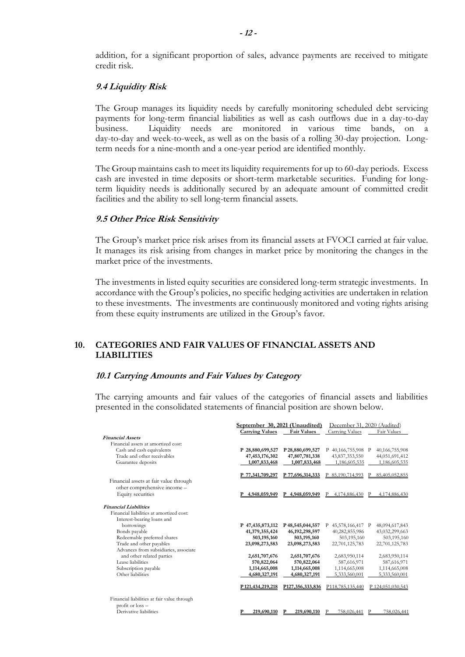addition, for a significant proportion of sales, advance payments are received to mitigate credit risk.

#### **9.4 Liquidity Risk**

The Group manages its liquidity needs by carefully monitoring scheduled debt servicing payments for long-term financial liabilities as well as cash outflows due in a day-to-day business. Liquidity needs are monitored in various time bands, on a day-to-day and week-to-week, as well as on the basis of a rolling 30-day projection. Longterm needs for a nine-month and a one-year period are identified monthly.

The Group maintains cash to meet its liquidity requirements for up to 60-day periods. Excess cash are invested in time deposits or short-term marketable securities. Funding for longterm liquidity needs is additionally secured by an adequate amount of committed credit facilities and the ability to sell long-term financial assets.

#### **9.5 Other Price Risk Sensitivity**

The Group's market price risk arises from its financial assets at FVOCI carried at fair value. It manages its risk arising from changes in market price by monitoring the changes in the market price of the investments.

The investments in listed equity securities are considered long-term strategic investments. In accordance with the Group's policies, no specific hedging activities are undertaken in relation to these investments. The investments are continuously monitored and voting rights arising from these equity instruments are utilized in the Group's favor.

### **10. CATEGORIES AND FAIR VALUES OF FINANCIAL ASSETS AND LIABILITIES**

#### **10.1 Carrying Amounts and Fair Values by Category**

The carrying amounts and fair values of the categories of financial assets and liabilities presented in the consolidated statements of financial position are shown below.

|                                             | September 30, 2021 (Unaudited)   |                                  | December 31, 2020 (Audited) |                   |
|---------------------------------------------|----------------------------------|----------------------------------|-----------------------------|-------------------|
|                                             | <b>Carrying Values</b>           | <b>Fair Values</b>               | Carrying Values             | Fair Values       |
| <b>Financial Assets</b>                     |                                  |                                  |                             |                   |
| Financial assets at amortized cost:         |                                  |                                  |                             |                   |
| Cash and cash equivalents                   | P 28,880,699,527                 | P28,880,699,527                  | P 40,166,755,908 P          | 40,166,755,908    |
| Trade and other receivables                 | 47, 453, 176, 302                | 47,807,781,338                   | 43,837,353,550              | 44,051,691,412    |
| Guarantee deposits                          | 1,007,833,468                    | 1,007,833,468                    | 1.186.605.535               | 1,186,605,535     |
|                                             | P 77,341,709,297                 | P 77,696,314,333                 | 85,190,714,993              | 85,405,052,855    |
| Financial assets at fair value through      |                                  |                                  |                             |                   |
| other comprehensive income -                |                                  |                                  |                             |                   |
| Equity securities                           | 4,948,059,949                    | P 4,948,059,949                  | 4,174,886,430<br>P          | 4,174,886,430     |
| <b>Financial Liabilities</b>                |                                  |                                  |                             |                   |
| Financial liabilities at amortized cost:    |                                  |                                  |                             |                   |
| Interest-bearing loans and                  |                                  |                                  |                             |                   |
| borrowings                                  | P 47,435,873,112                 | P48,545,044,557                  | P 45,578,166,417 P          | 48,094,617,843    |
| Bonds payable                               | 41,379,355,424                   | 46, 192, 298, 597                | 40,282,855,986              | 43,032,299,663    |
| Redeemable preferred shares                 | 503,195,160                      | 503,195,160                      | 503,195,160                 | 503,195,160       |
| Trade and other payables                    | 23,098,273,583                   | 23,098,273,583                   | 22,701,125,783              | 22,701,125,783    |
| Advances from subsidiaries, associate       |                                  |                                  |                             |                   |
| and other related parties                   | 2,651,707,676                    | 2,651,707,676                    | 2,683,950,114               | 2,683,950,114     |
| Lease liabilities                           | 570,822,064                      | 570,822,064                      | 587,616,971                 | 587,616,971       |
| Subscription payable                        | 1,114,665,008                    | 1,114,665,008                    | 1,114,665,008               | 1,114,665,008     |
| Other liabilities                           | 4,680,327,191                    | 4,680,327,191                    | 5,333,560,001               | 5,333,560,001     |
|                                             | P <sub>121</sub> , 434, 219, 218 | P <sub>127</sub> , 356, 333, 836 | P118,785,135,440            | P 124,051,030,543 |
| Financial liabilities at fair value through |                                  |                                  |                             |                   |
| profit or $loss -$                          |                                  |                                  |                             |                   |
| Derivative liabilities                      | 219,690,110                      | 219,690,110<br>Р                 | 758,026,441                 | 758,026,441       |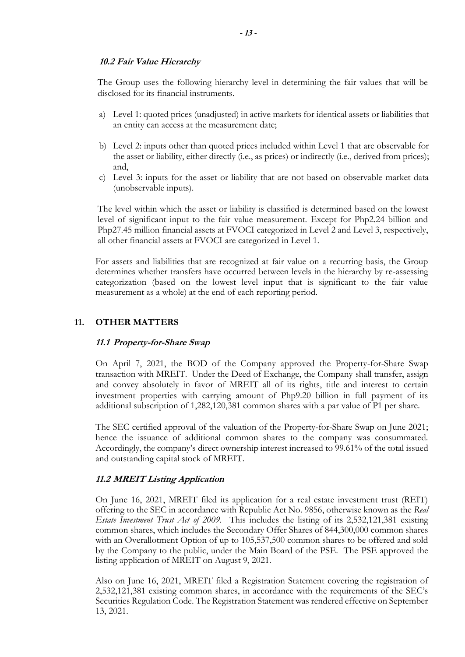## **10.2 Fair Value Hierarchy**

The Group uses the following hierarchy level in determining the fair values that will be disclosed for its financial instruments.

- a) Level 1: quoted prices (unadjusted) in active markets for identical assets or liabilities that an entity can access at the measurement date;
- b) Level 2: inputs other than quoted prices included within Level 1 that are observable for the asset or liability, either directly (i.e., as prices) or indirectly (i.e., derived from prices); and,
- c) Level 3: inputs for the asset or liability that are not based on observable market data (unobservable inputs).

The level within which the asset or liability is classified is determined based on the lowest level of significant input to the fair value measurement. Except for Php2.24 billion and Php27.45 million financial assets at FVOCI categorized in Level 2 and Level 3, respectively, all other financial assets at FVOCI are categorized in Level 1.

For assets and liabilities that are recognized at fair value on a recurring basis, the Group determines whether transfers have occurred between levels in the hierarchy by re-assessing categorization (based on the lowest level input that is significant to the fair value measurement as a whole) at the end of each reporting period.

### **11. OTHER MATTERS**

#### **11.1 Property-for-Share Swap**

On April 7, 2021, the BOD of the Company approved the Property-for-Share Swap transaction with MREIT. Under the Deed of Exchange, the Company shall transfer, assign and convey absolutely in favor of MREIT all of its rights, title and interest to certain investment properties with carrying amount of Php9.20 billion in full payment of its additional subscription of 1,282,120,381 common shares with a par value of P1 per share.

The SEC certified approval of the valuation of the Property-for-Share Swap on June 2021; hence the issuance of additional common shares to the company was consummated. Accordingly, the company's direct ownership interest increased to 99.61% of the total issued and outstanding capital stock of MREIT.

## **11.2 MREIT Listing Application**

On June 16, 2021, MREIT filed its application for a real estate investment trust (REIT) offering to the SEC in accordance with Republic Act No. 9856, otherwise known as the *Real Estate Investment Trust Act of 2009.* This includes the listing of its 2,532,121,381 existing common shares, which includes the Secondary Offer Shares of 844,300,000 common shares with an Overallotment Option of up to 105,537,500 common shares to be offered and sold by the Company to the public, under the Main Board of the PSE. The PSE approved the listing application of MREIT on August 9, 2021.

Also on June 16, 2021, MREIT filed a Registration Statement covering the registration of 2,532,121,381 existing common shares, in accordance with the requirements of the SEC's Securities Regulation Code. The Registration Statement was rendered effective on September 13, 2021.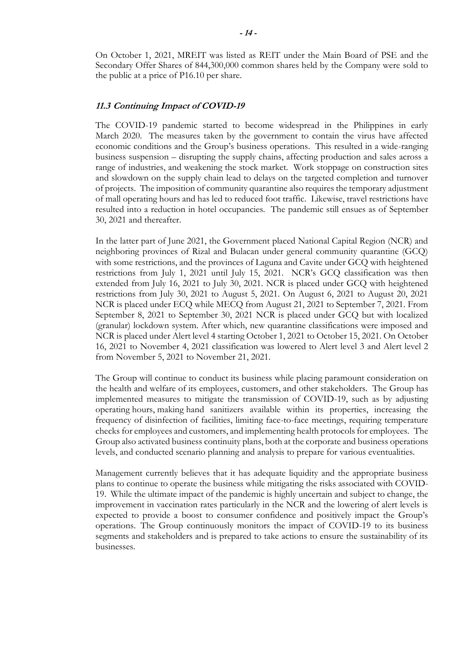On October 1, 2021, MREIT was listed as REIT under the Main Board of PSE and the Secondary Offer Shares of 844,300,000 common shares held by the Company were sold to the public at a price of P16.10 per share.

#### **11.3 Continuing Impact of COVID-19**

The COVID-19 pandemic started to become widespread in the Philippines in early March 2020. The measures taken by the government to contain the virus have affected economic conditions and the Group's business operations. This resulted in a wide-ranging business suspension – disrupting the supply chains, affecting production and sales across a range of industries, and weakening the stock market. Work stoppage on construction sites and slowdown on the supply chain lead to delays on the targeted completion and turnover of projects. The imposition of community quarantine also requires the temporary adjustment of mall operating hours and has led to reduced foot traffic. Likewise, travel restrictions have resulted into a reduction in hotel occupancies. The pandemic still ensues as of September 30, 2021 and thereafter.

In the latter part of June 2021, the Government placed National Capital Region (NCR) and neighboring provinces of Rizal and Bulacan under general community quarantine (GCQ) with some restrictions, and the provinces of Laguna and Cavite under GCQ with heightened restrictions from July 1, 2021 until July 15, 2021. NCR's GCQ classification was then extended from July 16, 2021 to July 30, 2021. NCR is placed under GCQ with heightened restrictions from July 30, 2021 to August 5, 2021. On August 6, 2021 to August 20, 2021 NCR is placed under ECQ while MECQ from August 21, 2021 to September 7, 2021. From September 8, 2021 to September 30, 2021 NCR is placed under GCQ but with localized (granular) lockdown system. After which, new quarantine classifications were imposed and NCR is placed under Alert level 4 starting October 1, 2021 to October 15, 2021. On October 16, 2021 to November 4, 2021 classification was lowered to Alert level 3 and Alert level 2 from November 5, 2021 to November 21, 2021.

The Group will continue to conduct its business while placing paramount consideration on the health and welfare of its employees, customers, and other stakeholders. The Group has implemented measures to mitigate the transmission of COVID-19, such as by adjusting operating hours, making hand sanitizers available within its properties, increasing the frequency of disinfection of facilities, limiting face-to-face meetings, requiring temperature checks for employees and customers, and implementing health protocols for employees. The Group also activated business continuity plans, both at the corporate and business operations levels, and conducted scenario planning and analysis to prepare for various eventualities.

Management currently believes that it has adequate liquidity and the appropriate business plans to continue to operate the business while mitigating the risks associated with COVID-19. While the ultimate impact of the pandemic is highly uncertain and subject to change, the improvement in vaccination rates particularly in the NCR and the lowering of alert levels is expected to provide a boost to consumer confidence and positively impact the Group's operations. The Group continuously monitors the impact of COVID-19 to its business segments and stakeholders and is prepared to take actions to ensure the sustainability of its businesses.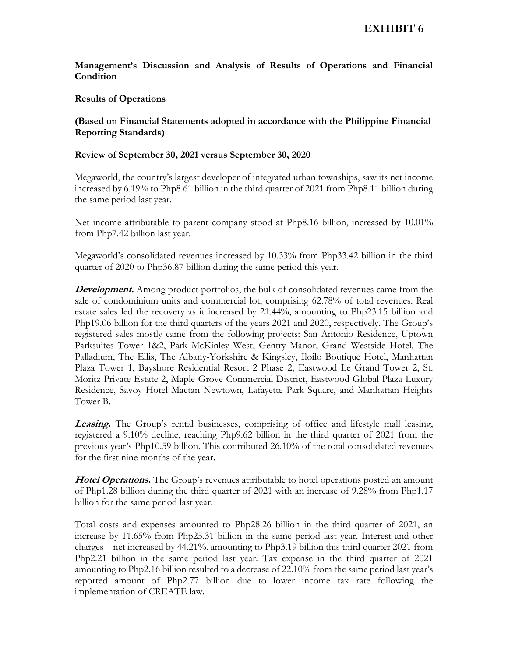## **Management's Discussion and Analysis of Results of Operations and Financial Condition**

### **Results of Operations**

## **(Based on Financial Statements adopted in accordance with the Philippine Financial Reporting Standards)**

### **Review of September 30, 2021 versus September 30, 2020**

Megaworld, the country's largest developer of integrated urban townships, saw its net income increased by 6.19% to Php8.61 billion in the third quarter of 2021 from Php8.11 billion during the same period last year.

Net income attributable to parent company stood at Php8.16 billion, increased by 10.01% from Php7.42 billion last year.

Megaworld's consolidated revenues increased by 10.33% from Php33.42 billion in the third quarter of 2020 to Php36.87 billion during the same period this year.

**Development.** Among product portfolios, the bulk of consolidated revenues came from the sale of condominium units and commercial lot, comprising 62.78% of total revenues. Real estate sales led the recovery as it increased by 21.44%, amounting to Php23.15 billion and Php19.06 billion for the third quarters of the years 2021 and 2020, respectively. The Group's registered sales mostly came from the following projects: San Antonio Residence, Uptown Parksuites Tower 1&2, Park McKinley West, Gentry Manor, Grand Westside Hotel, The Palladium, The Ellis, The Albany-Yorkshire & Kingsley, Iloilo Boutique Hotel, Manhattan Plaza Tower 1, Bayshore Residential Resort 2 Phase 2, Eastwood Le Grand Tower 2, St. Moritz Private Estate 2, Maple Grove Commercial District, Eastwood Global Plaza Luxury Residence, Savoy Hotel Mactan Newtown, Lafayette Park Square, and Manhattan Heights Tower B.

**Leasing.** The Group's rental businesses, comprising of office and lifestyle mall leasing, registered a 9.10% decline, reaching Php9.62 billion in the third quarter of 2021 from the previous year's Php10.59 billion. This contributed 26.10% of the total consolidated revenues for the first nine months of the year.

**Hotel Operations.** The Group's revenues attributable to hotel operations posted an amount of Php1.28 billion during the third quarter of 2021 with an increase of 9.28% from Php1.17 billion for the same period last year.

Total costs and expenses amounted to Php28.26 billion in the third quarter of 2021, an increase by 11.65% from Php25.31 billion in the same period last year. Interest and other charges – net increased by 44.21%, amounting to Php3.19 billion this third quarter 2021 from Php2.21 billion in the same period last year. Tax expense in the third quarter of 2021 amounting to Php2.16 billion resulted to a decrease of 22.10% from the same period last year's reported amount of Php2.77 billion due to lower income tax rate following the implementation of CREATE law.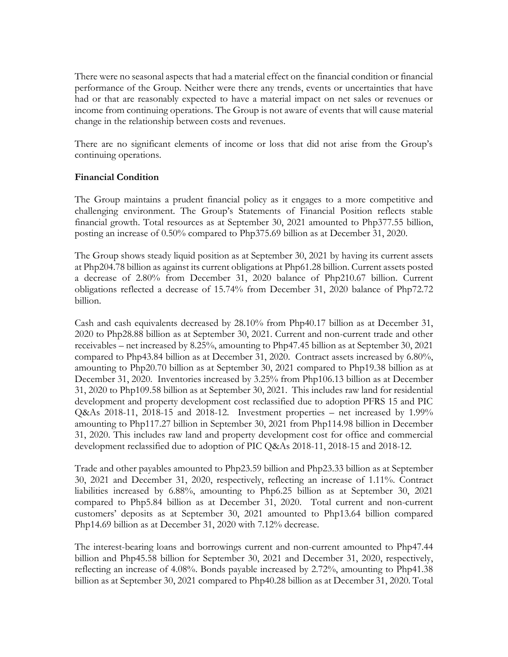There were no seasonal aspects that had a material effect on the financial condition or financial performance of the Group. Neither were there any trends, events or uncertainties that have had or that are reasonably expected to have a material impact on net sales or revenues or income from continuing operations. The Group is not aware of events that will cause material change in the relationship between costs and revenues.

There are no significant elements of income or loss that did not arise from the Group's continuing operations.

## **Financial Condition**

The Group maintains a prudent financial policy as it engages to a more competitive and challenging environment. The Group's Statements of Financial Position reflects stable financial growth. Total resources as at September 30, 2021 amounted to Php377.55 billion, posting an increase of 0.50% compared to Php375.69 billion as at December 31, 2020.

The Group shows steady liquid position as at September 30, 2021 by having its current assets at Php204.78 billion as against its current obligations at Php61.28 billion. Current assets posted a decrease of 2.80% from December 31, 2020 balance of Php210.67 billion. Current obligations reflected a decrease of 15.74% from December 31, 2020 balance of Php72.72 billion.

Cash and cash equivalents decreased by 28.10% from Php40.17 billion as at December 31, 2020 to Php28.88 billion as at September 30, 2021. Current and non-current trade and other receivables – net increased by 8.25%, amounting to Php47.45 billion as at September 30, 2021 compared to Php43.84 billion as at December 31, 2020. Contract assets increased by 6.80%, amounting to Php20.70 billion as at September 30, 2021 compared to Php19.38 billion as at December 31, 2020. Inventories increased by 3.25% from Php106.13 billion as at December 31, 2020 to Php109.58 billion as at September 30, 2021. This includes raw land for residential development and property development cost reclassified due to adoption PFRS 15 and PIC Q&As 2018-11, 2018-15 and 2018-12. Investment properties – net increased by 1.99% amounting to Php117.27 billion in September 30, 2021 from Php114.98 billion in December 31, 2020. This includes raw land and property development cost for office and commercial development reclassified due to adoption of PIC Q&As 2018-11, 2018-15 and 2018-12.

Trade and other payables amounted to Php23.59 billion and Php23.33 billion as at September 30, 2021 and December 31, 2020, respectively, reflecting an increase of 1.11%. Contract liabilities increased by 6.88%, amounting to Php6.25 billion as at September 30, 2021 compared to Php5.84 billion as at December 31, 2020. Total current and non-current customers' deposits as at September 30, 2021 amounted to Php13.64 billion compared Php14.69 billion as at December 31, 2020 with 7.12% decrease.

The interest-bearing loans and borrowings current and non-current amounted to Php47.44 billion and Php45.58 billion for September 30, 2021 and December 31, 2020, respectively, reflecting an increase of 4.08%. Bonds payable increased by 2.72%, amounting to Php41.38 billion as at September 30, 2021 compared to Php40.28 billion as at December 31, 2020. Total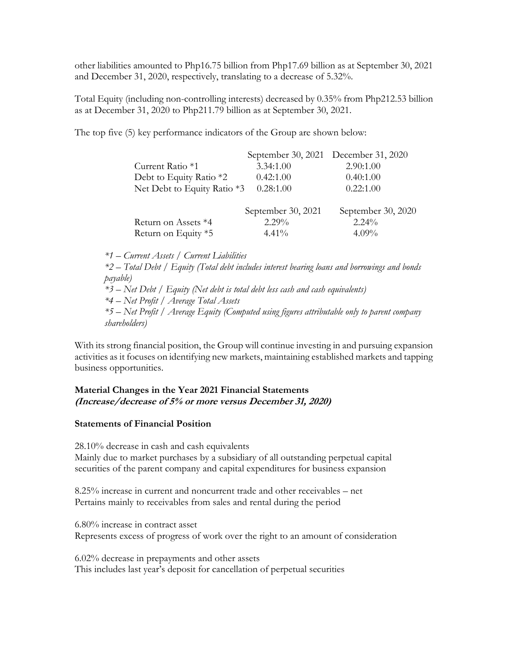other liabilities amounted to Php16.75 billion from Php17.69 billion as at September 30, 2021 and December 31, 2020, respectively, translating to a decrease of 5.32%.

Total Equity (including non-controlling interests) decreased by 0.35% from Php212.53 billion as at December 31, 2020 to Php211.79 billion as at September 30, 2021.

The top five (5) key performance indicators of the Group are shown below:

|                             |                    | September 30, 2021 December 31, 2020 |
|-----------------------------|--------------------|--------------------------------------|
| Current Ratio *1            | 3.34:1.00          | 2.90:1.00                            |
| Debt to Equity Ratio *2     | 0.42:1.00          | 0.40:1.00                            |
| Net Debt to Equity Ratio *3 | 0.28:1.00          | 0.22:1.00                            |
|                             | September 30, 2021 | September 30, 2020                   |
| Return on Assets *4         | $2.29\%$           | $2.24\%$                             |
| Return on Equity *5         | $4.41\%$           | $4.09\%$                             |

*\*1 – Current Assets / Current Liabilities*

*\*2 – Total Debt / Equity (Total debt includes interest bearing loans and borrowings and bonds payable) \*3 – Net Debt / Equity (Net debt is total debt less cash and cash equivalents) \*4 – Net Profit / Average Total Assets* 

*\*5 – Net Profit / Average Equity (Computed using figures attributable only to parent company shareholders)*

With its strong financial position, the Group will continue investing in and pursuing expansion activities as it focuses on identifying new markets, maintaining established markets and tapping business opportunities.

## **Material Changes in the Year 2021 Financial Statements (Increase/decrease of 5% or more versus December 31, 2020)**

## **Statements of Financial Position**

28.10% decrease in cash and cash equivalents Mainly due to market purchases by a subsidiary of all outstanding perpetual capital securities of the parent company and capital expenditures for business expansion

8.25% increase in current and noncurrent trade and other receivables – net Pertains mainly to receivables from sales and rental during the period

6.80% increase in contract asset Represents excess of progress of work over the right to an amount of consideration

6.02% decrease in prepayments and other assets This includes last year's deposit for cancellation of perpetual securities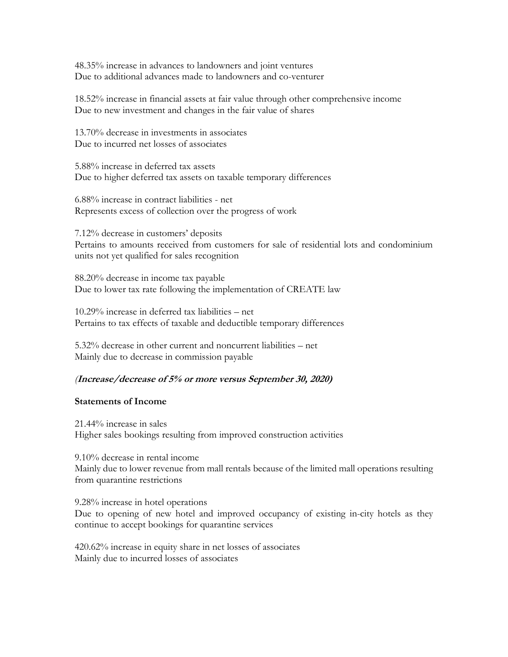48.35% increase in advances to landowners and joint ventures Due to additional advances made to landowners and co-venturer

18.52% increase in financial assets at fair value through other comprehensive income Due to new investment and changes in the fair value of shares

13.70% decrease in investments in associates Due to incurred net losses of associates

5.88% increase in deferred tax assets Due to higher deferred tax assets on taxable temporary differences

6.88% increase in contract liabilities - net Represents excess of collection over the progress of work

7.12% decrease in customers' deposits Pertains to amounts received from customers for sale of residential lots and condominium units not yet qualified for sales recognition

88.20% decrease in income tax payable Due to lower tax rate following the implementation of CREATE law

10.29% increase in deferred tax liabilities – net Pertains to tax effects of taxable and deductible temporary differences

5.32% decrease in other current and noncurrent liabilities – net Mainly due to decrease in commission payable

## *(***Increase/decrease of 5% or more versus September 30, 2020)**

#### **Statements of Income**

21.44% increase in sales Higher sales bookings resulting from improved construction activities

9.10% decrease in rental income Mainly due to lower revenue from mall rentals because of the limited mall operations resulting from quarantine restrictions

9.28% increase in hotel operations Due to opening of new hotel and improved occupancy of existing in-city hotels as they continue to accept bookings for quarantine services

420.62% increase in equity share in net losses of associates Mainly due to incurred losses of associates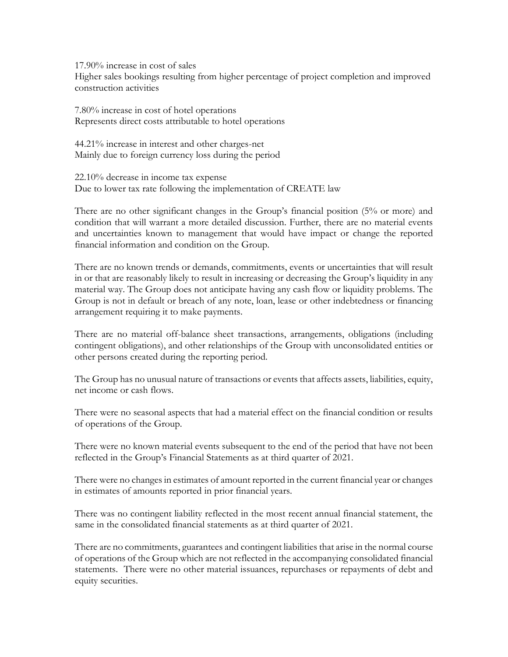17.90% increase in cost of sales

Higher sales bookings resulting from higher percentage of project completion and improved construction activities

7.80% increase in cost of hotel operations Represents direct costs attributable to hotel operations

44.21% increase in interest and other charges-net Mainly due to foreign currency loss during the period

22.10% decrease in income tax expense Due to lower tax rate following the implementation of CREATE law

There are no other significant changes in the Group's financial position (5% or more) and condition that will warrant a more detailed discussion. Further, there are no material events and uncertainties known to management that would have impact or change the reported financial information and condition on the Group.

There are no known trends or demands, commitments, events or uncertainties that will result in or that are reasonably likely to result in increasing or decreasing the Group's liquidity in any material way. The Group does not anticipate having any cash flow or liquidity problems. The Group is not in default or breach of any note, loan, lease or other indebtedness or financing arrangement requiring it to make payments.

There are no material off-balance sheet transactions, arrangements, obligations (including contingent obligations), and other relationships of the Group with unconsolidated entities or other persons created during the reporting period.

The Group has no unusual nature of transactions or events that affects assets, liabilities, equity, net income or cash flows.

There were no seasonal aspects that had a material effect on the financial condition or results of operations of the Group.

There were no known material events subsequent to the end of the period that have not been reflected in the Group's Financial Statements as at third quarter of 2021.

There were no changes in estimates of amount reported in the current financial year or changes in estimates of amounts reported in prior financial years.

There was no contingent liability reflected in the most recent annual financial statement, the same in the consolidated financial statements as at third quarter of 2021.

There are no commitments, guarantees and contingent liabilities that arise in the normal course of operations of the Group which are not reflected in the accompanying consolidated financial statements. There were no other material issuances, repurchases or repayments of debt and equity securities.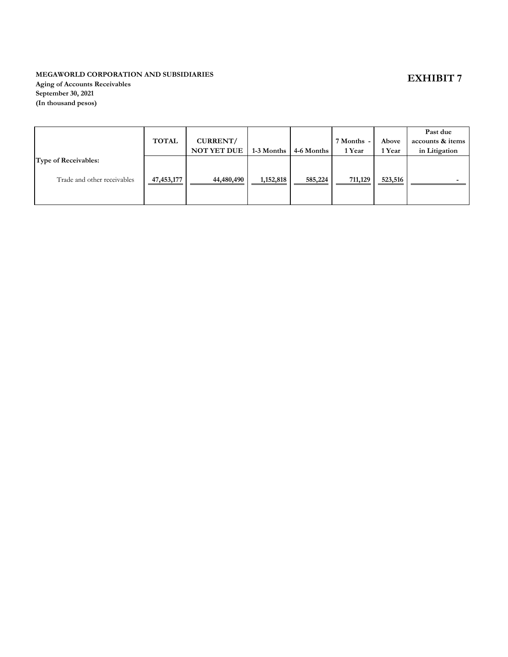## **MEGAWORLD CORPORATION AND SUBSIDIARIES**

**Aging of Accounts Receivables September 30, 2021 (In thousand pesos)**

|                             |              |                    |            |            |            |         | Past due         |
|-----------------------------|--------------|--------------------|------------|------------|------------|---------|------------------|
|                             | <b>TOTAL</b> | CURRENT/           |            |            | 7 Months - | Above   | accounts & items |
|                             |              | <b>NOT YET DUE</b> | 1-3 Months | 4-6 Months | 1 Year     | 1 Year  | in Litigation    |
| <b>Type of Receivables:</b> |              |                    |            |            |            |         |                  |
|                             |              |                    |            |            |            |         |                  |
| Trade and other receivables | 47,453,177   | 44,480,490         | 1,152,818  | 585,224    | 711,129    | 523,516 |                  |
|                             |              |                    |            |            |            |         |                  |
|                             |              |                    |            |            |            |         |                  |

# **EXHIBIT 7**